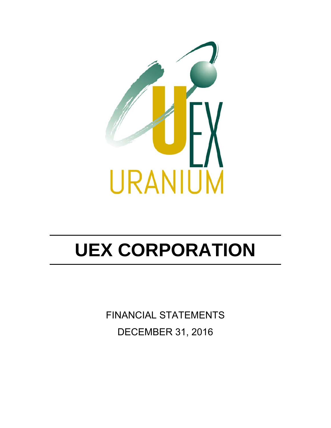

FINANCIAL STATEMENTS DECEMBER 31, 2016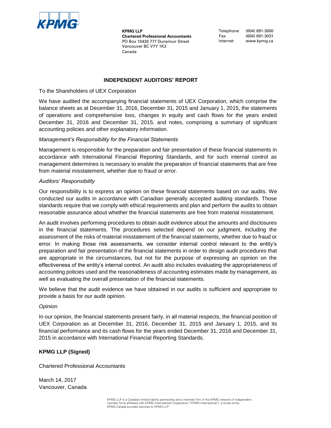

**KPMG LLP Chartered Professional Accountants** PO Box 10426 777 Dunsmuir Street Vancouver BC V7Y 1K3 Canada

Telephone (604) 691-3000 Telephone (604) 691-3000 Fax (604) 691-3031 Fax (604) 691-3031 Internet www.kpmg.ca Internet www.kpmg.ca

# **INDEPENDENT AUDITORS' REPORT**

To the Shareholders of UEX Corporation

We have audited the accompanying financial statements of UEX Corporation, which comprise the balance sheets as at December 31, 2016, December 31, 2015 and January 1, 2015, the statements of operations and comprehensive loss, changes in equity and cash flows for the years ended December 31, 2016 and December 31, 2015, and notes, comprising a summary of significant accounting policies and other explanatory information.

### *Management's Responsibility for the Financial Statements*

Management is responsible for the preparation and fair presentation of these financial statements in accordance with International Financial Reporting Standards, and for such internal control as management determines is necessary to enable the preparation of financial statements that are free from material misstatement, whether due to fraud or error.

### *Auditors' Responsibility*

Our responsibility is to express an opinion on these financial statements based on our audits. We conducted our audits in accordance with Canadian generally accepted auditing standards. Those standards require that we comply with ethical requirements and plan and perform the audits to obtain reasonable assurance about whether the financial statements are free from material misstatement.

An audit involves performing procedures to obtain audit evidence about the amounts and disclosures in the financial statements. The procedures selected depend on our judgment, including the assessment of the risks of material misstatement of the financial statements, whether due to fraud or error. In making those risk assessments, we consider internal control relevant to the entity's preparation and fair presentation of the financial statements in order to design audit procedures that are appropriate in the circumstances, but not for the purpose of expressing an opinion on the effectiveness of the entity's internal control. An audit also includes evaluating the appropriateness of accounting policies used and the reasonableness of accounting estimates made by management, as well as evaluating the overall presentation of the financial statements.

We believe that the audit evidence we have obtained in our audits is sufficient and appropriate to provide a basis for our audit opinion.

### *Opinion*

In our opinion, the financial statements present fairly, in all material respects, the financial position of UEX Corporation as at December 31, 2016, December 31, 2015 and January 1, 2015, and its financial performance and its cash flows for the years ended December 31, 2016 and December 31, 2015 in accordance with International Financial Reporting Standards.

### **KPMG LLP (Signed)**

Chartered Professional Accountants

March 14, 2017 Vancouver, Canada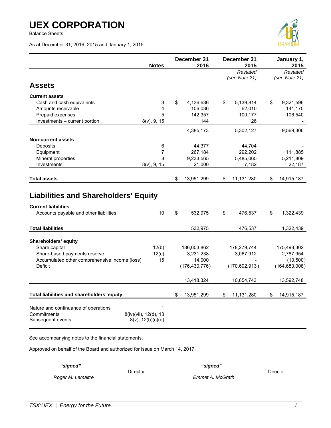Balance Sheets

As at December 31, 2016, 2015 and January 1, 2015



|                                                                                                                     | <b>Notes</b>                | December 31<br>2016 |                 | December 31<br>2015       | January 1,<br>2015        |
|---------------------------------------------------------------------------------------------------------------------|-----------------------------|---------------------|-----------------|---------------------------|---------------------------|
|                                                                                                                     |                             |                     |                 | Restated<br>(see Note 21) | Restated<br>(see Note 21) |
| <b>Assets</b>                                                                                                       |                             |                     |                 |                           |                           |
| <b>Current assets</b>                                                                                               |                             |                     |                 |                           |                           |
| Cash and cash equivalents                                                                                           | 3                           | \$                  | 4,136,636       | \$<br>5,139,814           | \$<br>9,321,596           |
| Amounts receivable                                                                                                  | 4                           |                     | 106,036         | 62,010                    | 141,170                   |
| Prepaid expenses                                                                                                    | 5                           |                     | 142,357         | 100,177                   | 106,540                   |
| Investments - current portion                                                                                       | $8(v)$ , 9, 15              |                     | 144             | 126                       |                           |
|                                                                                                                     |                             |                     | 4,385,173       | 5,302,127                 | 9,569,306                 |
| <b>Non-current assets</b>                                                                                           |                             |                     |                 |                           |                           |
| Deposits                                                                                                            | 6                           |                     | 44,377          | 44,704                    |                           |
| Equipment                                                                                                           | 7                           |                     | 267,184         | 292,202                   | 111,885                   |
| Mineral properties                                                                                                  | 8                           |                     | 9,233,565       | 5,485,065                 | 5,211,809                 |
| Investments                                                                                                         | $8(v)$ , 9, 15              |                     | 21,000          | 7,182                     | 22,187                    |
|                                                                                                                     |                             |                     |                 |                           |                           |
| <b>Total assets</b>                                                                                                 |                             | \$                  | 13,951,299      | \$<br>11,131,280          | \$<br>14,915,187          |
| <b>Liabilities and Shareholders' Equity</b><br><b>Current liabilities</b><br>Accounts payable and other liabilities | 10                          | \$                  | 532,975         | \$<br>476,537             | \$<br>1,322,439           |
| <b>Total liabilities</b>                                                                                            |                             |                     | 532,975         | 476,537                   | 1,322,439                 |
| Shareholders' equity                                                                                                |                             |                     |                 |                           |                           |
| Share capital                                                                                                       | 12(b)                       |                     | 186,603,862     | 178,279,744               | 175,498,302               |
| Share-based payments reserve                                                                                        | 12(c)                       |                     | 3,231,238       | 3,067,912                 | 2,787,954                 |
| Accumulated other comprehensive income (loss)                                                                       | 15                          |                     | 14,000          |                           | (10, 500)                 |
| Deficit                                                                                                             |                             |                     | (176, 430, 776) | (170, 692, 913)           | (164, 683, 008)           |
|                                                                                                                     |                             |                     |                 |                           |                           |
|                                                                                                                     |                             |                     | 13,418,324      | 10,654,743                | 13,592,748                |
| Total liabilities and shareholders' equity                                                                          |                             | \$                  | 13,951,299      | \$<br>11,131,280          | \$<br>14,915,187          |
| Nature and continuance of operations<br>Commitments<br>8(iv)(vii), 12(d), 13<br>Subsequent events                   | 1<br>$8(v)$ , $12(b)(c)(e)$ |                     |                 |                           |                           |

See accompanying notes to the financial statements.

Approved on behalf of the Board and authorized for issue on March 14, 2017.

 *"signed" "signed"* 

DirectorDirector

**Roger M. Lemaitre Emmet A. McGrath**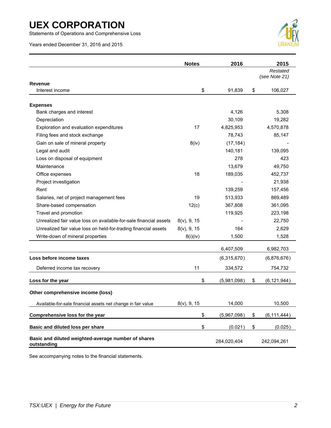Statements of Operations and Comprehensive Loss

Years ended December 31, 2016 and 2015



|                                                                    | <b>Notes</b>   | 2016        | 2015                |
|--------------------------------------------------------------------|----------------|-------------|---------------------|
|                                                                    |                |             | Restated            |
|                                                                    |                |             | (see Note 21)       |
| <b>Revenue</b><br>Interest income                                  | \$             | 91,839      | \$<br>106,027       |
|                                                                    |                |             |                     |
| <b>Expenses</b>                                                    |                |             |                     |
| Bank charges and interest                                          |                | 4,126       | 5,308               |
| Depreciation                                                       |                | 30,109      | 19,282              |
| Exploration and evaluation expenditures                            | 17             | 4,825,953   | 4,570,878           |
| Filing fees and stock exchange                                     |                | 78,743      | 85,147              |
| Gain on sale of mineral property                                   | 8(iv)          | (17, 184)   |                     |
| Legal and audit                                                    |                | 140,181     | 139,095             |
| Loss on disposal of equipment                                      |                | 278         | 423                 |
| Maintenance                                                        |                | 13,679      | 49,750              |
| Office expenses                                                    | 18             | 189,035     | 452,737             |
| Project investigation                                              |                |             | 21,938              |
| Rent                                                               |                | 139,259     | 157,456             |
| Salaries, net of project management fees                           | 19             | 513,933     | 869,489             |
| Share-based compensation                                           | 12(c)          | 367,808     | 361,095             |
| Travel and promotion                                               |                | 119,925     | 223,198             |
| Unrealized fair value loss on available-for-sale financial assets  | $8(v)$ , 9, 15 |             | 22,750              |
| Unrealized fair value loss on held-for-trading financial assets    | $8(v)$ , 9, 15 | 164         | 2,629               |
| Write-down of mineral properties                                   | 8(i)(iv)       | 1,500       | 1,528               |
|                                                                    |                | 6,407,509   | 6,982,703           |
| Loss before income taxes                                           |                | (6,315,670) | (6,876,676)         |
| Deferred income tax recovery                                       | 11             | 334,572     | 754,732             |
| Loss for the year                                                  | \$             | (5,981,098) | \$<br>(6, 121, 944) |
| Other comprehensive income (loss)                                  |                |             |                     |
| Available-for-sale financial assets net change in fair value       | $8(v)$ , 9, 15 | 14,000      | 10,500              |
| Comprehensive loss for the year                                    | \$             | (5,967,098) | \$<br>(6, 111, 444) |
| Basic and diluted loss per share                                   | \$             | (0.021)     | \$<br>(0.025)       |
| Basic and diluted weighted-average number of shares<br>outstanding |                | 284,020,404 | 242,094,261         |

See accompanying notes to the financial statements.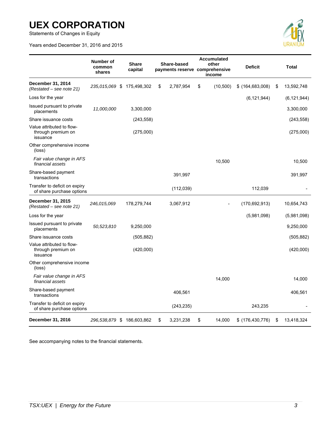Statements of Changes in Equity

Years ended December 31, 2016 and 2015



|                                                             | Number of<br>common<br>shares | <b>Share</b><br>capital | Share-based<br>payments reserve comprehensive |            | <b>Accumulated</b><br>other<br>income |           | <b>Deficit</b>    |    | <b>Total</b>  |
|-------------------------------------------------------------|-------------------------------|-------------------------|-----------------------------------------------|------------|---------------------------------------|-----------|-------------------|----|---------------|
| December 31, 2014<br>(Restated – see note 21)               | 235,015,069 \$                | 175,498,302             | \$                                            | 2,787,954  | \$                                    | (10, 500) | $$$ (164,683,008) | S  | 13,592,748    |
| Loss for the year                                           |                               |                         |                                               |            |                                       |           | (6, 121, 944)     |    | (6, 121, 944) |
| Issued pursuant to private<br>placements                    | 11,000,000                    | 3,300,000               |                                               |            |                                       |           |                   |    | 3,300,000     |
| Share issuance costs                                        |                               | (243, 558)              |                                               |            |                                       |           |                   |    | (243, 558)    |
| Value attributed to flow-<br>through premium on<br>issuance |                               | (275,000)               |                                               |            |                                       |           |                   |    | (275,000)     |
| Other comprehensive income<br>(loss)                        |                               |                         |                                               |            |                                       |           |                   |    |               |
| Fair value change in AFS<br>financial assets                |                               |                         |                                               |            |                                       | 10,500    |                   |    | 10,500        |
| Share-based payment<br>transactions                         |                               |                         |                                               | 391,997    |                                       |           |                   |    | 391,997       |
| Transfer to deficit on expiry<br>of share purchase options  |                               |                         |                                               | (112,039)  |                                       |           | 112,039           |    |               |
| December 31, 2015<br>(Restated – see note 21)               | 246,015,069                   | 178,279,744             |                                               | 3,067,912  |                                       |           | (170, 692, 913)   |    | 10,654,743    |
| Loss for the year                                           |                               |                         |                                               |            |                                       |           | (5,981,098)       |    | (5,981,098)   |
| Issued pursuant to private<br>placements                    | 50,523,810                    | 9,250,000               |                                               |            |                                       |           |                   |    | 9,250,000     |
| Share issuance costs                                        |                               | (505, 882)              |                                               |            |                                       |           |                   |    | (505, 882)    |
| Value attributed to flow-<br>through premium on<br>issuance |                               | (420,000)               |                                               |            |                                       |           |                   |    | (420,000)     |
| Other comprehensive income<br>(loss)                        |                               |                         |                                               |            |                                       |           |                   |    |               |
| Fair value change in AFS<br>financial assets                |                               |                         |                                               |            |                                       | 14,000    |                   |    | 14.000        |
| Share-based payment<br>transactions                         |                               |                         |                                               | 406,561    |                                       |           |                   |    | 406,561       |
| Transfer to deficit on expiry<br>of share purchase options  |                               |                         |                                               | (243, 235) |                                       |           | 243,235           |    |               |
| December 31, 2016                                           | 296,538,879 \$ 186,603,862    |                         | \$                                            | 3,231,238  | \$                                    | 14,000    | \$(176,430,776)   | \$ | 13,418,324    |

See accompanying notes to the financial statements.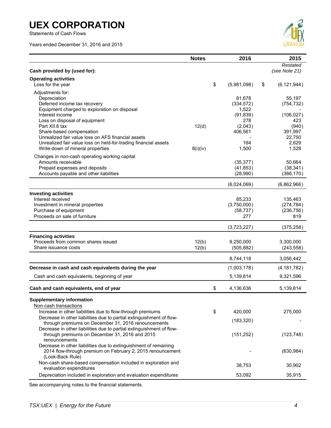Statements of Cash Flows

Years ended December 31, 2016 and 2015



|                                                                                                                        | <b>Notes</b> | 2016              | 2015                      |
|------------------------------------------------------------------------------------------------------------------------|--------------|-------------------|---------------------------|
| Cash provided by (used for):                                                                                           |              |                   | Restated<br>(see Note 21) |
| <b>Operating activities</b>                                                                                            |              |                   |                           |
| Loss for the year                                                                                                      |              | \$<br>(5,981,098) | \$<br>(6, 121, 944)       |
| Adjustments for:                                                                                                       |              |                   |                           |
| Depreciation                                                                                                           |              | 81,678            | 55,197                    |
| Deferred income tax recovery                                                                                           |              | (334, 572)        | (754, 732)                |
| Equipment charged to exploration on disposal                                                                           |              | 1,522             |                           |
| Interest income                                                                                                        |              | (91, 839)         | (106, 027)                |
| Loss on disposal of equipment<br>Part XII.6 tax                                                                        | 12(d)        | 278<br>(2,043)    | 423<br>(940)              |
| Share-based compensation                                                                                               |              | 406,561           | 391,997                   |
| Unrealized fair value loss on AFS financial assets                                                                     |              |                   | 22,750                    |
| Unrealized fair value loss on held-for-trading financial assets                                                        |              | 164               | 2,629                     |
| Write-down of mineral properties                                                                                       | 8(i)(iv)     | 1,500             | 1,528                     |
| Changes in non-cash operating working capital                                                                          |              |                   |                           |
| Amounts receivable                                                                                                     |              | (35, 377)         | 50,664                    |
| Prepaid expenses and deposits                                                                                          |              | (41, 853)         | (38, 341)                 |
| Accounts payable and other liabilities                                                                                 |              | (28,990)          | (366, 170)                |
|                                                                                                                        |              | (6,024,069)       | (6,862,966)               |
| <b>Investing activities</b>                                                                                            |              |                   |                           |
| Interest received                                                                                                      |              | 85,233            | 135,463                   |
| Investment in mineral properties                                                                                       |              | (3,750,000)       | (274, 784)                |
| Purchase of equipment                                                                                                  |              | (58, 737)         | (236, 756)                |
| Proceeds on sale of furniture                                                                                          |              | 277               | 819                       |
|                                                                                                                        |              | (3,723,227)       | (375, 258)                |
| <b>Financing activities</b>                                                                                            |              |                   |                           |
| Proceeds from common shares issued                                                                                     | 12(b)        | 9,250,000         | 3,300,000                 |
| Share issuance costs                                                                                                   | 12(b)        | (505, 882)        | (243, 558)                |
|                                                                                                                        |              | 8,744,118         | 3,056,442                 |
| Decrease in cash and cash equivalents during the year                                                                  |              | (1,003,178)       | (4, 181, 782)             |
| Cash and cash equivalents, beginning of year                                                                           |              | 5,139,814         | 9,321,596                 |
| Cash and cash equivalents, end of year                                                                                 |              | \$<br>4,136,636   | 5,139,814                 |
| <b>Supplementary information</b>                                                                                       |              |                   |                           |
| Non-cash transactions                                                                                                  |              |                   |                           |
| Increase in other liabilities due to flow-through premiums                                                             |              | \$<br>420,000     | 275,000                   |
| Decrease in other liabilities due to partial extinguishment of flow-                                                   |              | (183, 320)        |                           |
| through premiums on December 31, 2016 renouncements                                                                    |              |                   |                           |
| Decrease in other liabilities due to partial extinguishment of flow-<br>through premiums on December 31, 2016 and 2015 |              | (151, 252)        | (123, 748)                |
| renouncements                                                                                                          |              |                   |                           |
| Decrease in other liabilities due to extinguishment of remaining                                                       |              |                   |                           |
| 2014 flow-through premium on February 2, 2015 renouncement                                                             |              |                   | (630, 984)                |
| (Look-Back Rule)                                                                                                       |              |                   |                           |
| Non-cash share-based compensation included in exploration and                                                          |              | 38,753            | 30,902                    |
| evaluation expenditures                                                                                                |              |                   |                           |
| Depreciation included in exploration and evaluation expenditures                                                       |              | 53,092            | 35,915                    |

See accompanying notes to the financial statements.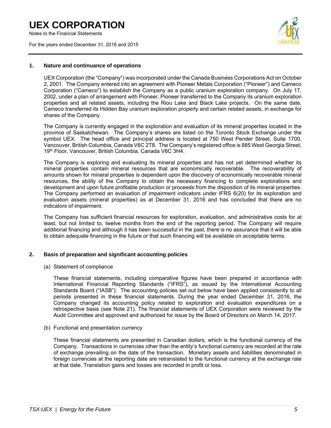Notes to the Financial Statements

For the years ended December 31, 2016 and 2015



### **1. Nature and continuance of operations**

UEX Corporation (the "Company") was incorporated under the Canada Business Corporations Act on October 2, 2001. The Company entered into an agreement with Pioneer Metals Corporation ("Pioneer") and Cameco Corporation ("Cameco") to establish the Company as a public uranium exploration company. On July 17, 2002, under a plan of arrangement with Pioneer, Pioneer transferred to the Company its uranium exploration properties and all related assets, including the Riou Lake and Black Lake projects. On the same date, Cameco transferred its Hidden Bay uranium exploration property and certain related assets, in exchange for shares of the Company.

The Company is currently engaged in the exploration and evaluation of its mineral properties located in the province of Saskatchewan. The Company's shares are listed on the Toronto Stock Exchange under the symbol UEX. The head office and principal address is located at 750 West Pender Street, Suite 1700, Vancouver, British Columbia, Canada V6C 2T8. The Company's registered office is 885 West Georgia Street, 19th Floor, Vancouver, British Columbia, Canada V6C 3H4.

The Company is exploring and evaluating its mineral properties and has not yet determined whether its mineral properties contain mineral resources that are economically recoverable. The recoverability of amounts shown for mineral properties is dependent upon the discovery of economically recoverable mineral resources, the ability of the Company to obtain the necessary financing to complete explorations and development and upon future profitable production or proceeds from the disposition of its mineral properties. The Company performed an evaluation of impairment indicators under IFRS 6(20) for its exploration and evaluation assets (mineral properties) as at December 31, 2016 and has concluded that there are no indicators of impairment.

The Company has sufficient financial resources for exploration, evaluation, and administrative costs for at least, but not limited to, twelve months from the end of the reporting period. The Company will require additional financing and although it has been successful in the past, there is no assurance that it will be able to obtain adequate financing in the future or that such financing will be available on acceptable terms.

### **2. Basis of preparation and significant accounting policies**

#### (a) Statement of compliance

These financial statements, including comparative figures have been prepared in accordance with International Financial Reporting Standards ("IFRS"), as issued by the International Accounting Standards Board ("IASB"). The accounting policies set out below have been applied consistently to all periods presented in these financial statements. During the year ended December 31, 2016, the Company changed its accounting policy related to exploration and evaluation expenditures on a retrospective basis (see Note 21). The financial statements of UEX Corporation were reviewed by the Audit Committee and approved and authorized for issue by the Board of Directors on March 14, 2017.

(b) Functional and presentation currency

These financial statements are presented in Canadian dollars, which is the functional currency of the Company. Transactions in currencies other than the entity's functional currency are recorded at the rate of exchange prevailing on the date of the transaction. Monetary assets and liabilities denominated in foreign currencies at the reporting date are retranslated to the functional currency at the exchange rate at that date. Translation gains and losses are recorded in profit or loss.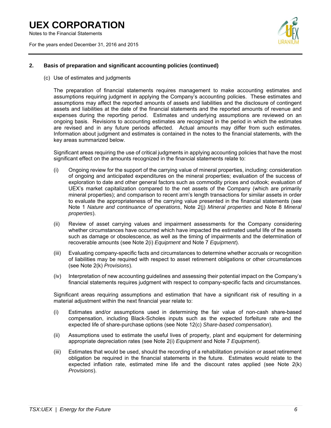Notes to the Financial Statements

For the years ended December 31, 2016 and 2015



### **2. Basis of preparation and significant accounting policies (continued)**

(c) Use of estimates and judgments

The preparation of financial statements requires management to make accounting estimates and assumptions requiring judgment in applying the Company's accounting policies. These estimates and assumptions may affect the reported amounts of assets and liabilities and the disclosure of contingent assets and liabilities at the date of the financial statements and the reported amounts of revenue and expenses during the reporting period. Estimates and underlying assumptions are reviewed on an ongoing basis. Revisions to accounting estimates are recognized in the period in which the estimates are revised and in any future periods affected. Actual amounts may differ from such estimates. Information about judgment and estimates is contained in the notes to the financial statements, with the key areas summarized below.

Significant areas requiring the use of critical judgments in applying accounting policies that have the most significant effect on the amounts recognized in the financial statements relate to:

- (i) Ongoing review for the support of the carrying value of mineral properties, including: consideration of ongoing and anticipated expenditures on the mineral properties; evaluation of the success of exploration to date and other general factors such as commodity prices and outlook; evaluation of UEX's market capitalization compared to the net assets of the Company (which are primarily mineral properties); and comparison to recent arm's length transactions for similar assets in order to evaluate the appropriateness of the carrying value presented in the financial statements (see Note 1 *Nature and continuance of operations*, Note 2(j) *Mineral properties* and Note 8 *Mineral properties*).
- (ii) Review of asset carrying values and impairment assessments for the Company considering whether circumstances have occurred which have impacted the estimated useful life of the assets such as damage or obsolescence, as well as the timing of impairments and the determination of recoverable amounts (see Note 2(i) *Equipment* and Note 7 *Equipment*).
- (iii) Evaluating company-specific facts and circumstances to determine whether accruals or recognition of liabilities may be required with respect to asset retirement obligations or other circumstances (see Note 2(k) *Provisions*).
- (iv) Interpretation of new accounting guidelines and assessing their potential impact on the Company's financial statements requires judgment with respect to company-specific facts and circumstances.

Significant areas requiring assumptions and estimation that have a significant risk of resulting in a material adjustment within the next financial year relate to:

- (i) Estimates and/or assumptions used in determining the fair value of non-cash share-based compensation, including Black-Scholes inputs such as the expected forfeiture rate and the expected life of share-purchase options (see Note 12(c) *Share-based compensation*).
- (ii) Assumptions used to estimate the useful lives of property, plant and equipment for determining appropriate depreciation rates (see Note 2(i) *Equipment* and Note 7 *Equipment*).
- (iii) Estimates that would be used, should the recording of a rehabilitation provision or asset retirement obligation be required in the financial statements in the future. Estimates would relate to the expected inflation rate, estimated mine life and the discount rates applied (see Note 2(k) *Provisions*).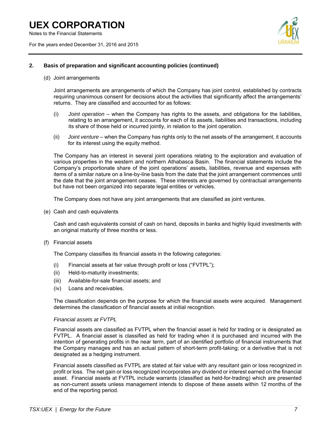Notes to the Financial Statements

For the years ended December 31, 2016 and 2015



# **2. Basis of preparation and significant accounting policies (continued)**

(d) Joint arrangements

Joint arrangements are arrangements of which the Company has joint control, established by contracts requiring unanimous consent for decisions about the activities that significantly affect the arrangements' returns. They are classified and accounted for as follows:

- (i) *Joint operation* when the Company has rights to the assets, and obligations for the liabilities, relating to an arrangement, it accounts for each of its assets, liabilities and transactions, including its share of those held or incurred jointly, in relation to the joint operation.
- (ii) *Joint venture* when the Company has rights only to the net assets of the arrangement, it accounts for its interest using the equity method.

The Company has an interest in several joint operations relating to the exploration and evaluation of various properties in the western and northern Athabasca Basin. The financial statements include the Company's proportionate share of the joint operations' assets, liabilities, revenue and expenses with items of a similar nature on a line-by-line basis from the date that the joint arrangement commences until the date that the joint arrangement ceases. These interests are governed by contractual arrangements but have not been organized into separate legal entities or vehicles.

The Company does not have any joint arrangements that are classified as joint ventures.

(e) Cash and cash equivalents

Cash and cash equivalents consist of cash on hand, deposits in banks and highly liquid investments with an original maturity of three months or less.

(f) Financial assets

The Company classifies its financial assets in the following categories:

- (i) Financial assets at fair value through profit or loss ("FVTPL");
- (ii) Held-to-maturity investments;
- (iii) Available-for-sale financial assets; and
- (iv) Loans and receivables.

The classification depends on the purpose for which the financial assets were acquired. Management determines the classification of financial assets at initial recognition.

#### *Financial assets at FVTPL*

Financial assets are classified as FVTPL when the financial asset is held for trading or is designated as FVTPL. A financial asset is classified as held for trading when it is purchased and incurred with the intention of generating profits in the near term, part of an identified portfolio of financial instruments that the Company manages and has an actual pattern of short-term profit-taking; or a derivative that is not designated as a hedging instrument.

Financial assets classified as FVTPL are stated at fair value with any resultant gain or loss recognized in profit or loss. The net gain or loss recognized incorporates any dividend or interest earned on the financial asset. Financial assets at FVTPL include warrants (classified as held-for-trading) which are presented as non-current assets unless management intends to dispose of these assets within 12 months of the end of the reporting period.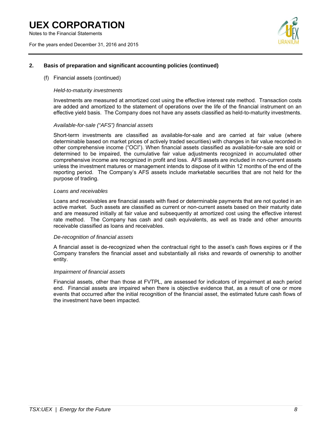Notes to the Financial Statements

For the years ended December 31, 2016 and 2015



# **2. Basis of preparation and significant accounting policies (continued)**

### (f) Financial assets (continued)

#### *Held-to-maturity investments*

Investments are measured at amortized cost using the effective interest rate method. Transaction costs are added and amortized to the statement of operations over the life of the financial instrument on an effective yield basis. The Company does not have any assets classified as held-to-maturity investments.

#### *Available-for-sale ("AFS") financial assets*

Short-term investments are classified as available-for-sale and are carried at fair value (where determinable based on market prices of actively traded securities) with changes in fair value recorded in other comprehensive income ("OCI"). When financial assets classified as available-for-sale are sold or determined to be impaired, the cumulative fair value adjustments recognized in accumulated other comprehensive income are recognized in profit and loss. AFS assets are included in non-current assets unless the investment matures or management intends to dispose of it within 12 months of the end of the reporting period. The Company's AFS assets include marketable securities that are not held for the purpose of trading.

#### *Loans and receivables*

Loans and receivables are financial assets with fixed or determinable payments that are not quoted in an active market. Such assets are classified as current or non-current assets based on their maturity date and are measured initially at fair value and subsequently at amortized cost using the effective interest rate method. The Company has cash and cash equivalents, as well as trade and other amounts receivable classified as loans and receivables.

#### *De-recognition of financial assets*

A financial asset is de-recognized when the contractual right to the asset's cash flows expires or if the Company transfers the financial asset and substantially all risks and rewards of ownership to another entity.

#### *Impairment of financial assets*

Financial assets, other than those at FVTPL, are assessed for indicators of impairment at each period end. Financial assets are impaired when there is objective evidence that, as a result of one or more events that occurred after the initial recognition of the financial asset, the estimated future cash flows of the investment have been impacted.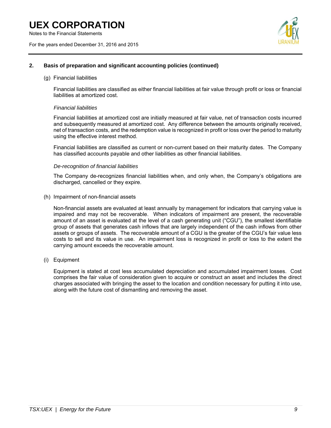Notes to the Financial Statements

For the years ended December 31, 2016 and 2015



### **2. Basis of preparation and significant accounting policies (continued)**

#### (g) Financial liabilities

Financial liabilities are classified as either financial liabilities at fair value through profit or loss or financial liabilities at amortized cost.

### *Financial liabilities*

Financial liabilities at amortized cost are initially measured at fair value, net of transaction costs incurred and subsequently measured at amortized cost. Any difference between the amounts originally received, net of transaction costs, and the redemption value is recognized in profit or loss over the period to maturity using the effective interest method.

Financial liabilities are classified as current or non-current based on their maturity dates. The Company has classified accounts payable and other liabilities as other financial liabilities.

### *De-recognition of financial liabilities*

The Company de-recognizes financial liabilities when, and only when, the Company's obligations are discharged, cancelled or they expire.

#### (h) Impairment of non-financial assets

Non-financial assets are evaluated at least annually by management for indicators that carrying value is impaired and may not be recoverable. When indicators of impairment are present, the recoverable amount of an asset is evaluated at the level of a cash generating unit ("CGU"), the smallest identifiable group of assets that generates cash inflows that are largely independent of the cash inflows from other assets or groups of assets. The recoverable amount of a CGU is the greater of the CGU's fair value less costs to sell and its value in use. An impairment loss is recognized in profit or loss to the extent the carrying amount exceeds the recoverable amount.

### (i) Equipment

Equipment is stated at cost less accumulated depreciation and accumulated impairment losses. Cost comprises the fair value of consideration given to acquire or construct an asset and includes the direct charges associated with bringing the asset to the location and condition necessary for putting it into use, along with the future cost of dismantling and removing the asset.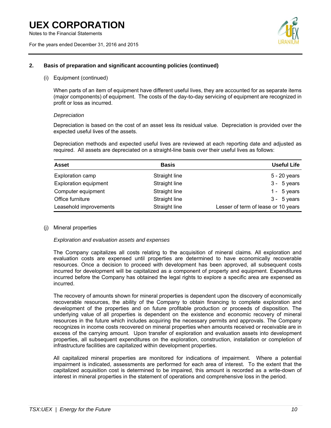Notes to the Financial Statements

For the years ended December 31, 2016 and 2015



### **2. Basis of preparation and significant accounting policies (continued)**

(i) Equipment (continued)

When parts of an item of equipment have different useful lives, they are accounted for as separate items (major components) of equipment. The costs of the day-to-day servicing of equipment are recognized in profit or loss as incurred.

### *Depreciation*

Depreciation is based on the cost of an asset less its residual value. Depreciation is provided over the expected useful lives of the assets.

Depreciation methods and expected useful lives are reviewed at each reporting date and adjusted as required. All assets are depreciated on a straight-line basis over their useful lives as follows:

| <b>Asset</b>                 | <b>Basis</b>  | Useful Life                         |
|------------------------------|---------------|-------------------------------------|
| Exploration camp             | Straight line | 5 - 20 years                        |
| <b>Exploration equipment</b> | Straight line | $3 - 5$ years                       |
| Computer equipment           | Straight line | 1 - $5$ years                       |
| Office furniture             | Straight line | $3 - 5$ years                       |
| Leasehold improvements       | Straight line | Lesser of term of lease or 10 years |

# (j) Mineral properties

### *Exploration and evaluation assets and expenses*

The Company capitalizes all costs relating to the acquisition of mineral claims. All exploration and evaluation costs are expensed until properties are determined to have economically recoverable resources. Once a decision to proceed with development has been approved, all subsequent costs incurred for development will be capitalized as a component of property and equipment. Expenditures incurred before the Company has obtained the legal rights to explore a specific area are expensed as incurred.

The recovery of amounts shown for mineral properties is dependent upon the discovery of economically recoverable resources, the ability of the Company to obtain financing to complete exploration and development of the properties and on future profitable production or proceeds of disposition. The underlying value of all properties is dependent on the existence and economic recovery of mineral resources in the future which includes acquiring the necessary permits and approvals. The Company recognizes in income costs recovered on mineral properties when amounts received or receivable are in excess of the carrying amount. Upon transfer of exploration and evaluation assets into development properties, all subsequent expenditures on the exploration, construction, installation or completion of infrastructure facilities are capitalized within development properties.

All capitalized mineral properties are monitored for indications of impairment. Where a potential impairment is indicated, assessments are performed for each area of interest. To the extent that the capitalized acquisition cost is determined to be impaired, this amount is recorded as a write-down of interest in mineral properties in the statement of operations and comprehensive loss in the period.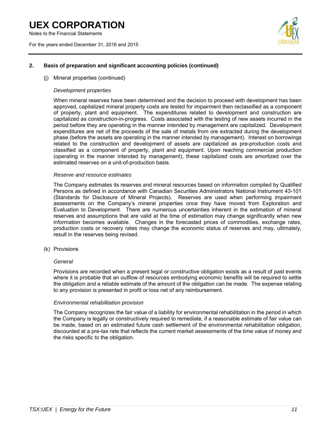Notes to the Financial Statements

For the years ended December 31, 2016 and 2015



# **2. Basis of preparation and significant accounting policies (continued)**

(j) Mineral properties (continued)

### *Development properties*

When mineral reserves have been determined and the decision to proceed with development has been approved, capitalized mineral property costs are tested for impairment then reclassified as a component of property, plant and equipment. The expenditures related to development and construction are capitalized as construction-in-progress. Costs associated with the testing of new assets incurred in the period before they are operating in the manner intended by management are capitalized. Development expenditures are net of the proceeds of the sale of metals from ore extracted during the development phase (before the assets are operating in the manner intended by management). Interest on borrowings related to the construction and development of assets are capitalized as pre-production costs and classified as a component of property, plant and equipment. Upon reaching commercial production (operating in the manner intended by management), these capitalized costs are amortized over the estimated reserves on a unit-of-production basis.

### *Reserve and resource estimates*

The Company estimates its reserves and mineral resources based on information compiled by Qualified Persons as defined in accordance with Canadian Securities Administrators National Instrument 43-101 (Standards for Disclosure of Mineral Projects). Reserves are used when performing impairment assessments on the Company's mineral properties once they have moved from Exploration and Evaluation to Development. There are numerous uncertainties inherent in the estimation of mineral reserves and assumptions that are valid at the time of estimation may change significantly when new information becomes available. Changes in the forecasted prices of commodities, exchange rates, production costs or recovery rates may change the economic status of reserves and may, ultimately, result in the reserves being revised.

(k) Provisions

### *General*

Provisions are recorded when a present legal or constructive obligation exists as a result of past events where it is probable that an outflow of resources embodying economic benefits will be required to settle the obligation and a reliable estimate of the amount of the obligation can be made. The expense relating to any provision is presented in profit or loss net of any reimbursement.

#### *Environmental rehabilitation provision*

The Company recognizes the fair value of a liability for environmental rehabilitation in the period in which the Company is legally or constructively required to remediate, if a reasonable estimate of fair value can be made, based on an estimated future cash settlement of the environmental rehabilitation obligation, discounted at a pre-tax rate that reflects the current market assessments of the time value of money and the risks specific to the obligation.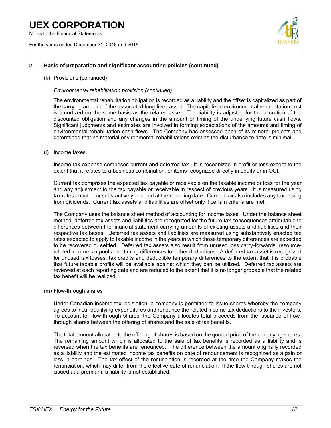Notes to the Financial Statements

For the years ended December 31, 2016 and 2015



# **2. Basis of preparation and significant accounting policies (continued)**

(k) Provisions (continued)

#### *Environmental rehabilitation provision (continued)*

The environmental rehabilitation obligation is recorded as a liability and the offset is capitalized as part of the carrying amount of the associated long-lived asset. The capitalized environmental rehabilitation cost is amortized on the same basis as the related asset. The liability is adjusted for the accretion of the discounted obligation and any changes in the amount or timing of the underlying future cash flows. Significant judgments and estimates are involved in forming expectations of the amounts and timing of environmental rehabilitation cash flows. The Company has assessed each of its mineral projects and determined that no material environmental rehabilitations exist as the disturbance to date is minimal.

(l) Income taxes

Income tax expense comprises current and deferred tax. It is recognized in profit or loss except to the extent that it relates to a business combination, or items recognized directly in equity or in OCI.

Current tax comprises the expected tax payable or receivable on the taxable income or loss for the year and any adjustment to the tax payable or receivable in respect of previous years. It is measured using tax rates enacted or substantively enacted at the reporting date. Current tax also includes any tax arising from dividends. Current tax assets and liabilities are offset only if certain criteria are met.

The Company uses the balance sheet method of accounting for income taxes. Under the balance sheet method, deferred tax assets and liabilities are recognized for the future tax consequences attributable to differences between the financial statement carrying amounts of existing assets and liabilities and their respective tax bases. Deferred tax assets and liabilities are measured using substantively enacted tax rates expected to apply to taxable income in the years in which those temporary differences are expected to be recovered or settled. Deferred tax assets also result from unused loss carry-forwards, resourcerelated income tax pools and timing differences for other deductions. A deferred tax asset is recognized for unused tax losses, tax credits and deductible temporary differences to the extent that it is probable that future taxable profits will be available against which they can be utilized. Deferred tax assets are reviewed at each reporting date and are reduced to the extent that it is no longer probable that the related tax benefit will be realized.

(m) Flow-through shares

Under Canadian income tax legislation, a company is permitted to issue shares whereby the company agrees to incur qualifying expenditures and renounce the related income tax deductions to the investors. To account for flow-through shares, the Company allocates total proceeds from the issuance of flowthrough shares between the offering of shares and the sale of tax benefits.

The total amount allocated to the offering of shares is based on the quoted price of the underlying shares. The remaining amount which is allocated to the sale of tax benefits is recorded as a liability and is reversed when the tax benefits are renounced. The difference between the amount originally recorded as a liability and the estimated income tax benefits on date of renouncement is recognized as a gain or loss in earnings. The tax effect of the renunciation is recorded at the time the Company makes the renunciation, which may differ from the effective date of renunciation. If the flow-through shares are not issued at a premium, a liability is not established.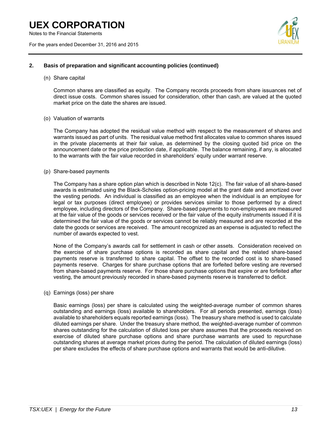Notes to the Financial Statements

For the years ended December 31, 2016 and 2015



### **2. Basis of preparation and significant accounting policies (continued)**

(n) Share capital

Common shares are classified as equity. The Company records proceeds from share issuances net of direct issue costs. Common shares issued for consideration, other than cash, are valued at the quoted market price on the date the shares are issued.

### (o) Valuation of warrants

The Company has adopted the residual value method with respect to the measurement of shares and warrants issued as part of units. The residual value method first allocates value to common shares issued in the private placements at their fair value, as determined by the closing quoted bid price on the announcement date or the price protection date, if applicable. The balance remaining, if any, is allocated to the warrants with the fair value recorded in shareholders' equity under warrant reserve.

### (p) Share-based payments

The Company has a share option plan which is described in Note 12(c). The fair value of all share-based awards is estimated using the Black-Scholes option-pricing model at the grant date and amortized over the vesting periods. An individual is classified as an employee when the individual is an employee for legal or tax purposes (direct employee) or provides services similar to those performed by a direct employee, including directors of the Company. Share-based payments to non-employees are measured at the fair value of the goods or services received or the fair value of the equity instruments issued if it is determined the fair value of the goods or services cannot be reliably measured and are recorded at the date the goods or services are received. The amount recognized as an expense is adjusted to reflect the number of awards expected to vest.

None of the Company's awards call for settlement in cash or other assets. Consideration received on the exercise of share purchase options is recorded as share capital and the related share-based payments reserve is transferred to share capital. The offset to the recorded cost is to share-based payments reserve. Charges for share purchase options that are forfeited before vesting are reversed from share-based payments reserve. For those share purchase options that expire or are forfeited after vesting, the amount previously recorded in share-based payments reserve is transferred to deficit.

### (q) Earnings (loss) per share

Basic earnings (loss) per share is calculated using the weighted-average number of common shares outstanding and earnings (loss) available to shareholders. For all periods presented, earnings (loss) available to shareholders equals reported earnings (loss). The treasury share method is used to calculate diluted earnings per share. Under the treasury share method, the weighted-average number of common shares outstanding for the calculation of diluted loss per share assumes that the proceeds received on exercise of diluted share purchase options and share purchase warrants are used to repurchase outstanding shares at average market prices during the period. The calculation of diluted earnings (loss) per share excludes the effects of share purchase options and warrants that would be anti-dilutive.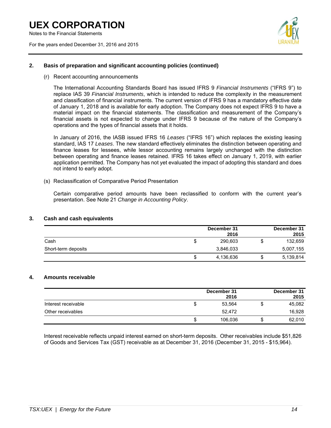Notes to the Financial Statements

For the years ended December 31, 2016 and 2015



### **2. Basis of preparation and significant accounting policies (continued)**

(r) Recent accounting announcements

The International Accounting Standards Board has issued IFRS 9 *Financial Instruments* ("IFRS 9") to replace IAS 39 *Financial Instruments*, which is intended to reduce the complexity in the measurement and classification of financial instruments. The current version of IFRS 9 has a mandatory effective date of January 1, 2018 and is available for early adoption. The Company does not expect IFRS 9 to have a material impact on the financial statements. The classification and measurement of the Company's financial assets is not expected to change under IFRS 9 because of the nature of the Company's operations and the types of financial assets that it holds.

In January of 2016, the IASB issued IFRS 16 *Leases* ("IFRS 16") which replaces the existing leasing standard, IAS 17 *Leases*. The new standard effectively eliminates the distinction between operating and finance leases for lessees, while lessor accounting remains largely unchanged with the distinction between operating and finance leases retained. IFRS 16 takes effect on January 1, 2019, with earlier application permitted. The Company has not yet evaluated the impact of adopting this standard and does not intend to early adopt.

(s) Reclassification of Comparative Period Presentation

Certain comparative period amounts have been reclassified to conform with the current year's presentation. See Note 21 *Change in Accounting Policy*.

### **3. Cash and cash equivalents**

|                     | December 31<br>2016 |   | December 31<br>2015 |
|---------------------|---------------------|---|---------------------|
| Cash                | 290.603             | Œ | 132,659             |
| Short-term deposits | 3,846,033           |   | 5,007,155           |
|                     | 4,136,636           |   | 5,139,814           |

#### **4. Amounts receivable**

|                     |   | December 31<br>2016 |    | December 31<br>2015 |
|---------------------|---|---------------------|----|---------------------|
| Interest receivable |   | 53.564              | \$ | 45,082              |
| Other receivables   |   | 52.472              |    | 16,928              |
|                     | S | 106,036             | S  | 62,010              |

Interest receivable reflects unpaid interest earned on short-term deposits. Other receivables include \$51,826 of Goods and Services Tax (GST) receivable as at December 31, 2016 (December 31, 2015 - \$15,964).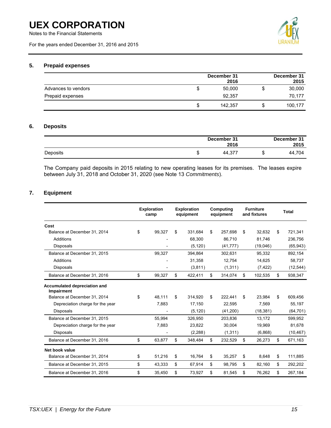Notes to the Financial Statements

For the years ended December 31, 2016 and 2015



# **5. Prepaid expenses**

|                     |   | December 31<br>2016 |     | December 31<br>2015 |
|---------------------|---|---------------------|-----|---------------------|
| Advances to vendors | S | 50.000              |     | 30,000              |
| Prepaid expenses    |   | 92,357              |     | 70,177              |
|                     | S | 142.357             | ۰D. | 100,177             |

# **6. Deposits**

|          | December 31<br>2016 | December 31<br>2015 |
|----------|---------------------|---------------------|
| Deposits | 44.377              | 44,704              |

The Company paid deposits in 2015 relating to new operating leases for its premises. The leases expire between July 31, 2018 and October 31, 2020 (see Note 13 *Commitments*).

# **7. Equipment**

|                                            | <b>Exploration</b><br>camp | <b>Exploration</b><br>equipment | <b>Computing</b><br>equipment | <b>Furniture</b><br>and fixtures | <b>Total</b>  |
|--------------------------------------------|----------------------------|---------------------------------|-------------------------------|----------------------------------|---------------|
| Cost                                       |                            |                                 |                               |                                  |               |
| Balance at December 31, 2014               | \$<br>99,327               | \$<br>331.684                   | \$<br>257.698                 | \$<br>32,632                     | \$<br>721,341 |
| Additions                                  |                            | 68,300                          | 86,710                        | 81,746                           | 236,756       |
| <b>Disposals</b>                           |                            | (5, 120)                        | (41, 777)                     | (19,046)                         | (65, 943)     |
| Balance at December 31, 2015               | 99,327                     | 394,864                         | 302,631                       | 95,332                           | 892,154       |
| Additions                                  |                            | 31,358                          | 12,754                        | 14,625                           | 58,737        |
| <b>Disposals</b>                           |                            | (3,811)                         | (1, 311)                      | (7, 422)                         | (12, 544)     |
| Balance at December 31, 2016               | \$<br>99,327               | \$<br>422,411                   | \$<br>314,074                 | \$<br>102,535                    | \$<br>938,347 |
| Accumulated depreciation and<br>Impairment |                            |                                 |                               |                                  |               |
| Balance at December 31, 2014               | \$<br>48.111               | \$<br>314,920                   | \$<br>222,441                 | \$<br>23.984                     | \$<br>609,456 |
| Depreciation charge for the year           | 7,883                      | 17,150                          | 22,595                        | 7,569                            | 55,197        |
| <b>Disposals</b>                           |                            | (5, 120)                        | (41,200)                      | (18, 381)                        | (64, 701)     |
| Balance at December 31, 2015               | 55,994                     | 326,950                         | 203,836                       | 13,172                           | 599,952       |
| Depreciation charge for the year           | 7,883                      | 23,822                          | 30,004                        | 19,969                           | 81,678        |
| <b>Disposals</b>                           |                            | (2, 288)                        | (1, 311)                      | (6,868)                          | (10, 467)     |
| Balance at December 31, 2016               | \$<br>63,877               | \$<br>348,484                   | \$<br>232,529                 | \$<br>26,273                     | \$<br>671,163 |
| Net book value                             |                            |                                 |                               |                                  |               |
| Balance at December 31, 2014               | \$<br>51,216               | \$<br>16,764                    | \$<br>35,257                  | \$<br>8.648                      | \$<br>111,885 |
| Balance at December 31, 2015               | \$<br>43,333               | \$<br>67,914                    | \$<br>98,795                  | \$<br>82,160                     | \$<br>292,202 |
| Balance at December 31, 2016               | \$<br>35,450               | \$<br>73,927                    | \$<br>81,545                  | \$<br>76,262                     | \$<br>267,184 |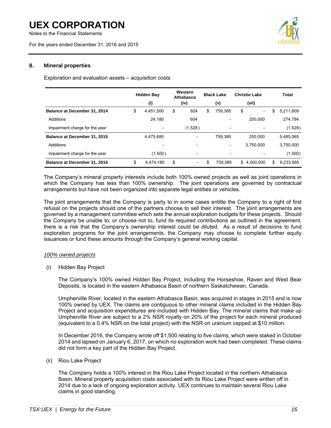Notes to the Financial Statements

For the years ended December 31, 2016 and 2015



# **8. Mineral properties**

Exploration and evaluation assets – acquisition costs

|                                | <b>Hidden Bay</b>        |    | Western<br>Athabasca         | <b>Black Lake</b> |                          | <b>Christie Lake</b> |                          | Total           |
|--------------------------------|--------------------------|----|------------------------------|-------------------|--------------------------|----------------------|--------------------------|-----------------|
|                                | (i)                      |    | (iv)                         |                   | (v)                      |                      | (vii)                    |                 |
| Balance at December 31, 2014   | \$<br>4,451,500          | \$ | 924                          | \$                | 759,385                  | \$                   | $\overline{\phantom{0}}$ | \$<br>5,211,809 |
| Additions                      | 24,180                   |    | 604                          |                   |                          |                      | 250,000                  | 274,784         |
| Impairment charge for the year | $\overline{\phantom{0}}$ |    | (1,528)                      |                   |                          |                      |                          | (1,528)         |
| Balance at December 31, 2015   | 4,475,680                |    | $\qquad \qquad \blacksquare$ |                   | 759,385                  |                      | 250,000                  | 5,485,065       |
| Additions                      | $\overline{\phantom{0}}$ |    | $\qquad \qquad$              |                   | $\overline{\phantom{a}}$ |                      | 3,750,000                | 3.750.000       |
| Impairment charge for the year | (1,500)                  |    | $\qquad \qquad \blacksquare$ |                   |                          |                      |                          | (1,500)         |
| Balance at December 31, 2016   | \$<br>4,474,180          | \$ | $\overline{\phantom{a}}$     | \$                | 759.385                  | \$                   | 4.000.000                | \$<br>9.233.565 |

The Company's mineral property interests include both 100% owned projects as well as joint operations in which the Company has less than 100% ownership. The joint operations are governed by contractual arrangements but have not been organized into separate legal entities or vehicles.

The joint arrangements that the Company is party to in some cases entitle the Company to a right of first refusal on the projects should one of the partners choose to sell their interest. The joint arrangements are governed by a management committee which sets the annual exploration budgets for these projects. Should the Company be unable to, or choose not to, fund its required contributions as outlined in the agreement, there is a risk that the Company's ownership interest could be diluted. As a result of decisions to fund exploration programs for the joint arrangements, the Company may choose to complete further equity issuances or fund these amounts through the Company's general working capital.

#### *100% owned projects*

(i) Hidden Bay Project

The Company's 100% owned Hidden Bay Project, including the Horseshoe, Raven and West Bear Deposits, is located in the eastern Athabasca Basin of northern Saskatchewan, Canada.

Umpherville River, located in the eastern Athabasca Basin, was acquired in stages in 2015 and is now 100% owned by UEX. The claims are contiguous to other mineral claims included in the Hidden Bay Project and acquisition expenditures are included with Hidden Bay. The mineral claims that make up Umpherville River are subject to a 2% NSR royalty on 20% of the project for each mineral produced (equivalent to a 0.4% NSR on the total project) with the NSR on uranium capped at \$10 million.

In December 2016, the Company wrote off \$1,500 relating to five claims, which were staked in October 2014 and lapsed on January 6, 2017, on which no exploration work had been completed. These claims did not form a key part of the Hidden Bay Project.

### (ii) Riou Lake Project

The Company holds a 100% interest in the Riou Lake Project located in the northern Athabasca Basin. Mineral property acquisition costs associated with its Riou Lake Project were written off in 2014 due to a lack of ongoing exploration activity. UEX continues to maintain several Riou Lake claims in good standing.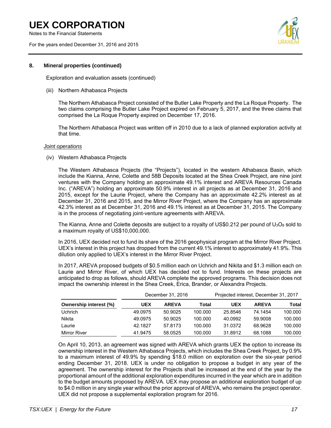Notes to the Financial Statements

For the years ended December 31, 2016 and 2015



### **8. Mineral properties (continued)**

Exploration and evaluation assets (continued)

#### (iii) Northern Athabasca Projects

The Northern Athabasca Project consisted of the Butler Lake Property and the La Roque Property. The two claims comprising the Butler Lake Project expired on February 5, 2017, and the three claims that comprised the La Roque Property expired on December 17, 2016.

The Northern Athabasca Project was written off in 2010 due to a lack of planned exploration activity at that time.

#### *Joint operations*

(iv) Western Athabasca Projects

The Western Athabasca Projects (the "Projects"), located in the western Athabasca Basin, which include the Kianna, Anne, Colette and 58B Deposits located at the Shea Creek Project, are nine joint ventures with the Company holding an approximate 49.1% interest and AREVA Resources Canada Inc. ("AREVA") holding an approximate 50.9% interest in all projects as at December 31, 2016 and 2015, except for the Laurie Project, where the Company has an approximate 42.2% interest as at December 31, 2016 and 2015, and the Mirror River Project, where the Company has an approximate 42.3% interest as at December 31, 2016 and 49.1% interest as at December 31, 2015. The Company is in the process of negotiating joint-venture agreements with AREVA.

The Kianna, Anne and Colette deposits are subject to a royalty of US\$0.212 per pound of  $U_3O_8$  sold to a maximum royalty of US\$10,000,000.

In 2016, UEX decided not to fund its share of the 2016 geophysical program at the Mirror River Project. UEX's interest in this project has dropped from the current 49.1% interest to approximately 41.9%. This dilution only applied to UEX's interest in the Mirror River Project.

In 2017, AREVA proposed budgets of \$0.5 million each on Uchrich and Nikita and \$1.3 million each on Laurie and Mirror River, of which UEX has decided not to fund. Interests on these projects are anticipated to drop as follows, should AREVA complete the approved programs. This decision does not impact the ownership interest in the Shea Creek, Erica, Brander, or Alexandra Projects.

|                               |         | December 31, 2016 |         | Projected interest, December 31, 2017<br><b>AREVA</b> |         |         |  |  |  |
|-------------------------------|---------|-------------------|---------|-------------------------------------------------------|---------|---------|--|--|--|
| <b>Ownership interest (%)</b> | UEX     | <b>AREVA</b>      | Total   | <b>UEX</b>                                            |         | Total   |  |  |  |
| <b>Uchrich</b>                | 49.0975 | 50.9025           | 100.000 | 25.8546                                               | 74.1454 | 100.000 |  |  |  |
| Nikita                        | 49.0975 | 50.9025           | 100.000 | 40.0992                                               | 59.9008 | 100.000 |  |  |  |
| Laurie                        | 42.1827 | 57.8173           | 100.000 | 31.0372                                               | 68.9628 | 100.000 |  |  |  |
| Mirror River                  | 41.9475 | 58.0525           | 100.000 | 31.8912                                               | 68.1088 | 100.000 |  |  |  |

On April 10, 2013, an agreement was signed with AREVA which grants UEX the option to increase its ownership interest in the Western Athabasca Projects, which includes the Shea Creek Project, by 0.9% to a maximum interest of 49.9% by spending \$18.0 million on exploration over the six-year period ending December 31, 2018. UEX is under no obligation to propose a budget in any year of the agreement. The ownership interest for the Projects shall be increased at the end of the year by the proportional amount of the additional exploration expenditures incurred in the year which are in addition to the budget amounts proposed by AREVA. UEX may propose an additional exploration budget of up to \$4.0 million in any single year without the prior approval of AREVA, who remains the project operator. UEX did not propose a supplemental exploration program for 2016.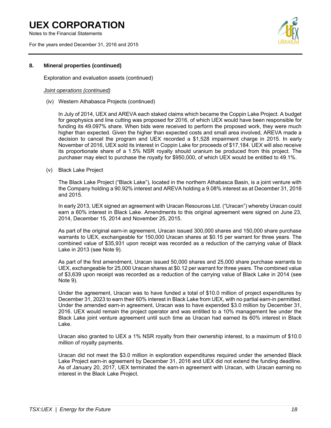Notes to the Financial Statements

For the years ended December 31, 2016 and 2015



### **8. Mineral properties (continued)**

Exploration and evaluation assets (continued)

#### *Joint operations (continued)*

(iv) Western Athabasca Projects (continued)

In July of 2014, UEX and AREVA each staked claims which became the Coppin Lake Project. A budget for geophysics and line cutting was proposed for 2016, of which UEX would have been responsible for funding its 49.097% share. When bids were received to perform the proposed work, they were much higher than expected. Given the higher than expected costs and small area involved, AREVA made a decision to cancel the program and UEX recorded a \$1,528 impairment charge in 2015. In early November of 2016, UEX sold its interest in Coppin Lake for proceeds of \$17,184. UEX will also receive its proportionate share of a 1.5% NSR royalty should uranium be produced from this project. The purchaser may elect to purchase the royalty for \$950,000, of which UEX would be entitled to 49.1%.

(v) Black Lake Project

The Black Lake Project ("Black Lake"), located in the northern Athabasca Basin, is a joint venture with the Company holding a 90.92% interest and AREVA holding a 9.08% interest as at December 31, 2016 and 2015.

In early 2013, UEX signed an agreement with Uracan Resources Ltd. ("Uracan") whereby Uracan could earn a 60% interest in Black Lake. Amendments to this original agreement were signed on June 23, 2014, December 15, 2014 and November 25, 2015.

As part of the original earn-in agreement, Uracan issued 300,000 shares and 150,000 share purchase warrants to UEX, exchangeable for 150,000 Uracan shares at \$0.15 per warrant for three years. The combined value of \$35,931 upon receipt was recorded as a reduction of the carrying value of Black Lake in 2013 (see Note 9).

As part of the first amendment, Uracan issued 50,000 shares and 25,000 share purchase warrants to UEX, exchangeable for 25,000 Uracan shares at \$0.12 per warrant for three years. The combined value of \$3,639 upon receipt was recorded as a reduction of the carrying value of Black Lake in 2014 (see Note 9).

Under the agreement, Uracan was to have funded a total of \$10.0 million of project expenditures by December 31, 2023 to earn their 60% interest in Black Lake from UEX, with no partial earn-in permitted. Under the amended earn-in agreement, Uracan was to have expended \$3.0 million by December 31, 2016. UEX would remain the project operator and was entitled to a 10% management fee under the Black Lake joint venture agreement until such time as Uracan had earned its 60% interest in Black Lake.

Uracan also granted to UEX a 1% NSR royalty from their ownership interest, to a maximum of \$10.0 million of royalty payments.

Uracan did not meet the \$3.0 million in exploration expenditures required under the amended Black Lake Project earn-in agreement by December 31, 2016 and UEX did not extend the funding deadline. As of January 20, 2017, UEX terminated the earn-in agreement with Uracan, with Uracan earning no interest in the Black Lake Project.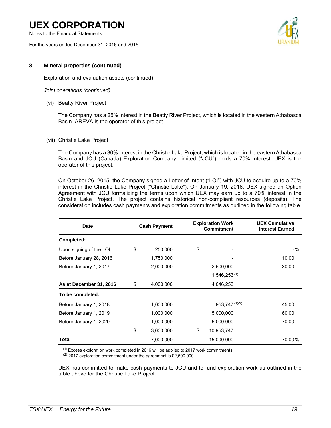Notes to the Financial Statements

For the years ended December 31, 2016 and 2015



### **8. Mineral properties (continued)**

Exploration and evaluation assets (continued)

#### *Joint operations (continued)*

(vi) Beatty River Project

The Company has a 25% interest in the Beatty River Project, which is located in the western Athabasca Basin. AREVA is the operator of this project.

(vii) Christie Lake Project

The Company has a 30% interest in the Christie Lake Project, which is located in the eastern Athabasca Basin and JCU (Canada) Exploration Company Limited ("JCU") holds a 70% interest. UEX is the operator of this project.

On October 26, 2015, the Company signed a Letter of Intent ("LOI") with JCU to acquire up to a 70% interest in the Christie Lake Project ("Christie Lake"). On January 19, 2016, UEX signed an Option Agreement with JCU formalizing the terms upon which UEX may earn up to a 70% interest in the Christie Lake Project. The project contains historical non-compliant resources (deposits). The consideration includes cash payments and exploration commitments as outlined in the following table.

| <b>Date</b>             | <b>Cash Payment</b> | <b>Exploration Work</b><br><b>Commitment</b> |               | <b>UEX Cumulative</b><br><b>Interest Earned</b> |
|-------------------------|---------------------|----------------------------------------------|---------------|-------------------------------------------------|
| Completed:              |                     |                                              |               |                                                 |
| Upon signing of the LOI | \$<br>250,000       | \$                                           |               | $-$ %                                           |
| Before January 28, 2016 | 1,750,000           |                                              |               | 10.00                                           |
| Before January 1, 2017  | 2,000,000           |                                              | 2,500,000     | 30.00                                           |
|                         |                     | 1,546,253(1)                                 |               |                                                 |
| As at December 31, 2016 | \$<br>4,000,000     |                                              | 4,046,253     |                                                 |
| To be completed:        |                     |                                              |               |                                                 |
| Before January 1, 2018  | 1,000,000           |                                              | 953,747(1)(2) | 45.00                                           |
| Before January 1, 2019  | 1,000,000           |                                              | 5,000,000     | 60.00                                           |
| Before January 1, 2020  | 1,000,000           |                                              | 5,000,000     | 70.00                                           |
|                         | \$<br>3,000,000     | \$                                           | 10,953,747    |                                                 |
| Total                   | 7,000,000           |                                              | 15,000,000    | 70.00%                                          |

(1) Excess exploration work completed in 2016 will be applied to 2017 work commitments.

(2) 2017 exploration commitment under the agreement is \$2,500,000.

UEX has committed to make cash payments to JCU and to fund exploration work as outlined in the table above for the Christie Lake Project.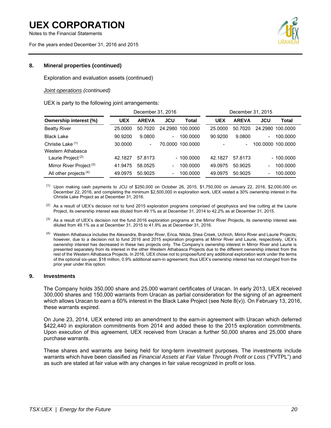Notes to the Financial Statements

For the years ended December 31, 2016 and 2015



# **8. Mineral properties (continued)**

Exploration and evaluation assets (continued)

### *Joint operations (continued)*

UEX is party to the following joint arrangements:

|                                     |            | December 31, 2016        |                          |                  |            | December 31, 2015        |                          |                  |
|-------------------------------------|------------|--------------------------|--------------------------|------------------|------------|--------------------------|--------------------------|------------------|
| <b>Ownership interest (%)</b>       | <b>UEX</b> | <b>AREVA</b>             | <b>JCU</b>               | Total            | <b>UEX</b> | <b>AREVA</b>             | JCU                      | <b>Total</b>     |
| <b>Beatty River</b>                 | 25,0000    | 50.7020                  |                          | 24.2980 100.0000 | 25.0000    | 50.7020                  |                          | 24.2980 100.0000 |
| <b>Black Lake</b>                   | 90.9200    | 9.0800                   | $\overline{\phantom{0}}$ | 100.0000         | 90.9200    | 9.0800                   | $\overline{\phantom{0}}$ | 100.0000         |
| Christie Lake (1)                   | 30.0000    | $\overline{\phantom{a}}$ | 70.0000                  | 100.0000         |            | $\overline{\phantom{0}}$ | 100.0000                 | 100.0000         |
| Western Athabasca                   |            |                          |                          |                  |            |                          |                          |                  |
| Laurie Project <sup>(2)</sup>       | 42.1827    | 57.8173                  |                          | $-100.0000$      | 42.1827    | 57.8173                  |                          | $-100.0000$      |
| Mirror River Project <sup>(3)</sup> | 41.9475    | 58.0525                  | $\overline{\phantom{0}}$ | 100.0000         | 49.0975    | 50.9025                  |                          | 100.0000         |
| All other projects <sup>(4)</sup>   | 49.0975    | 50.9025                  | $\overline{\phantom{0}}$ | 100.0000         | 49.0975    | 50.9025                  |                          | 100.0000         |

- $(1)$  Upon making cash payments to JCU of \$250,000 on October 26, 2015, \$1,750,000 on January 22, 2016, \$2,000,000 on December 22, 2016, and completing the minimum \$2,500,000 in exploration work, UEX vested a 30% ownership interest in the Christie Lake Project as at December 31, 2016.
- $(2)$  As a result of UEX's decision not to fund 2015 exploration programs comprised of geophysics and line cutting at the Laurie Project, its ownership interest was diluted from 49.1% as at December 31, 2014 to 42.2% as at December 31, 2015.
- $<sup>(3)</sup>$  As a result of UEX's decision not the fund 2016 exploration programs at the Mirror River Projects, its ownership interest was</sup> diluted from 49.1% as a at December 31, 2015 to 41.9% as at December 31, 2016.
- (4) Western Athabasca includes the Alexandra, Brander River, Erica, Nikita, Shea Creek, Uchrich, Mirror River and Laurie Projects; however, due to a decision not to fund 2016 and 2015 exploration programs at Mirror River and Laurie, respectively, UEX's ownership interest has decreased in these two projects only. The Company's ownership interest in Mirror River and Laurie is presented separately from its interest in the other Western Athabasca Projects due to the different ownership interest from the rest of the Western Athabasca Projects. In 2016, UEX chose not to propose/fund any additional exploration work under the terms of the optional six-year, \$18 million, 0.9% additional earn-in agreement, thus UEX's ownership interest has not changed from the prior year under this option.

#### **9. Investments**

The Company holds 350,000 share and 25,000 warrant certificates of Uracan. In early 2013, UEX received 300,000 shares and 150,000 warrants from Uracan as partial consideration for the signing of an agreement which allows Uracan to earn a 60% interest in the Black Lake Project (see Note 8(v)). On February 13, 2016, these warrants expired.

On June 23, 2014, UEX entered into an amendment to the earn-in agreement with Uracan which deferred \$422,440 in exploration commitments from 2014 and added these to the 2015 exploration commitments. Upon execution of this agreement, UEX received from Uracan a further 50,000 shares and 25,000 share purchase warrants.

These shares and warrants are being held for long-term investment purposes. The investments include warrants which have been classified as *Financial Assets at Fair Value Through Profit or Loss* ("FVTPL") and as such are stated at fair value with any changes in fair value recognized in profit or loss.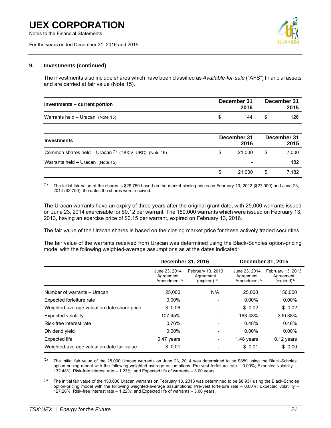For the years ended December 31, 2016 and 2015



#### **9. Investments (continued)**

The investments also include shares which have been classified as *Available-for-sale* ("AFS") financial assets and are carried at fair value (Note 15).

| Investments – current portion    | December 31 | 2016 | December 31<br>2015 |
|----------------------------------|-------------|------|---------------------|
| Warrants held - Uracan (Note 15) |             | 144  | 126                 |

| Investments                                              | December 31<br>2016 |    | December 31<br>2015 |
|----------------------------------------------------------|---------------------|----|---------------------|
| Common shares held – Uracan $(1)$ (TSX.V: URC) (Note 15) | 21.000              | S  | 7,000               |
| Warrants held - Uracan (Note 15)                         | -                   |    | 182                 |
|                                                          | 21.000              | \$ | 7.182               |

(1) The initial fair value of the shares is \$29,750 based on the market closing prices on February 13, 2013 (\$27,000) and June 23, 2014 (\$2,750), the dates the shares were received.

The Uracan warrants have an expiry of three years after the original grant date, with 25,000 warrants issued on June 23, 2014 exercisable for \$0.12 per warrant. The 150,000 warrants which were issued on February 13, 2013, having an exercise price of \$0.15 per warrant, expired on February 13, 2016.

The fair value of the Uracan shares is based on the closing market price for these actively traded securities.

The fair value of the warrants received from Uracan was determined using the Black-Scholes option-pricing model with the following weighted-average assumptions as at the dates indicated:

|                                             | <b>December 31, 2016</b>                               |                                                   | December 31, 2015                                      |                                                     |
|---------------------------------------------|--------------------------------------------------------|---------------------------------------------------|--------------------------------------------------------|-----------------------------------------------------|
|                                             | June 23, 2014<br>Agreement<br>Amendment <sup>(2)</sup> | February 13, 2013<br>Agreement<br>(expired) $(3)$ | June 23, 2014<br>Agreement<br>Amendment <sup>(2)</sup> | February 13, 2013<br>Agreement<br>$(expired)^{(3)}$ |
| Number of warrants - Uracan                 | 25,000                                                 | N/A                                               | 25,000                                                 | 150,000                                             |
| Expected forfeiture rate                    | $0.00\%$                                               |                                                   | $0.00\%$                                               | $0.00\%$                                            |
| Weighted-average valuation date share price | \$ 0.06                                                |                                                   | \$0.02                                                 | \$0.02                                              |
| Expected volatility                         | 107.45%                                                |                                                   | 163.43%                                                | 330.38%                                             |
| Risk-free interest rate                     | 0.76%                                                  |                                                   | 0.48%                                                  | 0.48%                                               |
| Dividend yield                              | $0.00\%$                                               |                                                   | $0.00\%$                                               | $0.00\%$                                            |
| Expected life                               | 0.47 years                                             |                                                   | 1.48 years                                             | $0.12$ years                                        |
| Weighted-average valuation date fair value  | \$0.01                                                 |                                                   | \$0.01                                                 | \$ 0.00                                             |

<sup>(2)</sup> The initial fair value of the 25,000 Uracan warrants on June 23, 2014 was determined to be \$889 using the Black-Scholes option-pricing model with the following weighted-average assumptions: Pre-vest forfeiture rate – 0.00%; Expected volatility – 132.48%; Risk-free interest rate – 1.23%; and Expected life of warrants – 3.00 years.

 $^{(3)}$  The initial fair value of the 150,000 Uracan warrants on February 13, 2013 was determined to be \$8,931 using the Black-Scholes option-pricing model with the following weighted-average assumptions: Pre-vest forfeiture rate – 0.00%; Expected volatility – 127.26%; Risk-free interest rate – 1.22%; and Expected life of warrants – 3.00 years.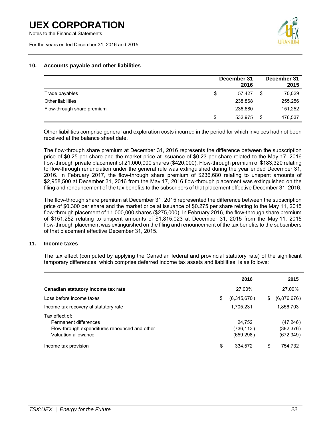Notes to the Financial Statements

For the years ended December 31, 2016 and 2015



# **10. Accounts payable and other liabilities**

|                            | December 31<br>2016 |   | December 31<br>2015 |
|----------------------------|---------------------|---|---------------------|
| Trade payables             | \$<br>57.427        | S | 70,029              |
| Other liabilities          | 238,868             |   | 255,256             |
| Flow-through share premium | 236,680             |   | 151,252             |
|                            | \$<br>532.975       |   | 476.537             |

Other liabilities comprise general and exploration costs incurred in the period for which invoices had not been received at the balance sheet date.

The flow-through share premium at December 31, 2016 represents the difference between the subscription price of \$0.25 per share and the market price at issuance of \$0.23 per share related to the May 17, 2016 flow-through private placement of 21,000,000 shares (\$420,000). Flow-through premium of \$183,320 relating to flow-through renunciation under the general rule was extinguished during the year ended December 31, 2016. In February 2017, the flow-through share premium of \$236,680 relating to unspent amounts of \$2,958,500 at December 31, 2016 from the May 17, 2016 flow-through placement was extinguished on the filing and renouncement of the tax benefits to the subscribers of that placement effective December 31, 2016.

The flow-through share premium at December 31, 2015 represented the difference between the subscription price of \$0.300 per share and the market price at issuance of \$0.275 per share relating to the May 11, 2015 flow-through placement of 11,000,000 shares (\$275,000). In February 2016, the flow-through share premium of \$151,252 relating to unspent amounts of \$1,815,023 at December 31, 2015 from the May 11, 2015 flow-through placement was extinguished on the filing and renouncement of the tax benefits to the subscribers of that placement effective December 31, 2015.

### **11. Income taxes**

The tax effect (computed by applying the Canadian federal and provincial statutory rate) of the significant temporary differences, which comprise deferred income tax assets and liabilities, is as follows:

|                                                                                                                 | 2016                               |    | 2015                                  |
|-----------------------------------------------------------------------------------------------------------------|------------------------------------|----|---------------------------------------|
| Canadian statutory income tax rate                                                                              | 27.00%                             |    | 27.00%                                |
| Loss before income taxes                                                                                        | \$<br>(6,315,670)                  | \$ | (6,876,676)                           |
| Income tax recovery at statutory rate                                                                           | 1,705,231                          |    | 1,856,703                             |
| Tax effect of:<br>Permanent differences<br>Flow-through expenditures renounced and other<br>Valuation allowance | 24,752<br>(736, 113)<br>(659, 298) |    | (47, 246)<br>(382, 376)<br>(672, 349) |
| Income tax provision                                                                                            | \$<br>334,572                      | S. | 754.732                               |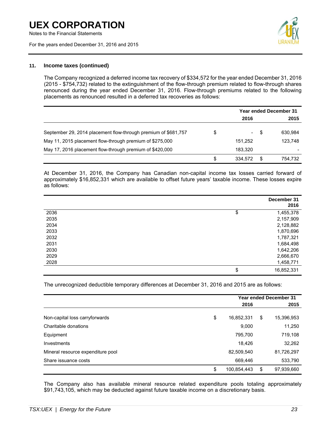Notes to the Financial Statements

For the years ended December 31, 2016 and 2015



#### **11. Income taxes (continued)**

The Company recognized a deferred income tax recovery of \$334,572 for the year ended December 31, 2016 (2015 - \$754,732) related to the extinguishment of the flow-through premium related to flow-through shares renounced during the year ended December 31, 2016. Flow-through premiums related to the following placements as renounced resulted in a deferred tax recoveries as follows:

|                                                                |                                | <b>Year ended December 31</b> |         |  |
|----------------------------------------------------------------|--------------------------------|-------------------------------|---------|--|
|                                                                | 2016                           |                               | 2015    |  |
| September 29, 2014 placement flow-through premium of \$681,757 | \$<br>$\overline{\phantom{0}}$ | \$.                           | 630.984 |  |
| May 11, 2015 placement flow-through premium of \$275,000       | 151,252                        |                               | 123,748 |  |
| May 17, 2016 placement flow-through premium of \$420,000       | 183.320                        |                               |         |  |
|                                                                | \$<br>334.572                  |                               | 754.732 |  |

At December 31, 2016, the Company has Canadian non-capital income tax losses carried forward of approximately \$16,852,331 which are available to offset future years' taxable income. These losses expire as follows:

|      | December 31<br>2016 |
|------|---------------------|
| 2036 | \$<br>1,455,378     |
| 2035 | 2,157,909           |
| 2034 | 2,128,882           |
| 2033 | 1,870,696           |
| 2032 | 1,787,321           |
| 2031 | 1,684,498           |
| 2030 | 1,642,206           |
| 2029 | 2,666,670           |
| 2028 | 1,458,771           |
|      | \$<br>16,852,331    |

The unrecognized deductible temporary differences at December 31, 2016 and 2015 are as follows:

|                                   | <b>Year ended December 31</b> |    |            |
|-----------------------------------|-------------------------------|----|------------|
|                                   | 2016                          |    | 2015       |
| Non-capital loss carryforwards    | \$<br>16,852,331              | \$ | 15,396,953 |
| Charitable donations              | 9,000                         |    | 11,250     |
| Equipment                         | 795,700                       |    | 719,108    |
| Investments                       | 18,426                        |    | 32,262     |
| Mineral resource expenditure pool | 82,509,540                    |    | 81,726,297 |
| Share issuance costs              | 669,446                       |    | 533,790    |
|                                   | \$<br>100,854,443             | S  | 97,939,660 |

The Company also has available mineral resource related expenditure pools totaling approximately \$91,743,105, which may be deducted against future taxable income on a discretionary basis.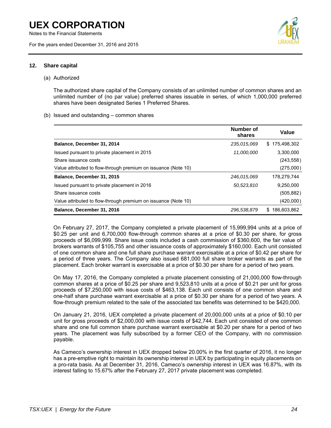Notes to the Financial Statements

For the years ended December 31, 2016 and 2015



### **12. Share capital**

#### (a) Authorized

The authorized share capital of the Company consists of an unlimited number of common shares and an unlimited number of (no par value) preferred shares issuable in series, of which 1,000,000 preferred shares have been designated Series 1 Preferred Shares.

#### (b) Issued and outstanding – common shares

|                                                                | Number of<br>shares | Value              |
|----------------------------------------------------------------|---------------------|--------------------|
| Balance, December 31, 2014                                     | 235,015,069         | \$175.498.302      |
| Issued pursuant to private placement in 2015                   | 11,000,000          | 3.300.000          |
| Share issuance costs                                           |                     | (243, 558)         |
| Value attributed to flow-through premium on issuance (Note 10) |                     | (275,000)          |
| Balance, December 31, 2015                                     | 246,015,069         | 178.279.744        |
| Issued pursuant to private placement in 2016                   | 50,523,810          | 9,250,000          |
| Share issuance costs                                           |                     | (505, 882)         |
| Value attributed to flow-through premium on issuance (Note 10) |                     | (420,000)          |
| Balance, December 31, 2016                                     | 296,538,879         | 186,603,862<br>\$. |

On February 27, 2017, the Company completed a private placement of 15,999,994 units at a price of \$0.25 per unit and 6,700,000 flow-through common shares at a price of \$0.30 per share, for gross proceeds of \$6,099,999. Share issue costs included a cash commission of \$360,600, the fair value of brokers warrants of \$105,755 and other issuance costs of approximately \$160,000. Each unit consisted of one common share and one full share purchase warrant exercisable at a price of \$0.42 per share for a period of three years. The Company also issued 681,000 full share broker warrants as part of the placement. Each broker warrant is exercisable at a price of \$0.30 per share for a period of two years.

On May 17, 2016, the Company completed a private placement consisting of 21,000,000 flow-through common shares at a price of \$0.25 per share and 9,523,810 units at a price of \$0.21 per unit for gross proceeds of \$7,250,000 with issue costs of \$463,138. Each unit consists of one common share and one-half share purchase warrant exercisable at a price of \$0.30 per share for a period of two years. A flow-through premium related to the sale of the associated tax benefits was determined to be \$420,000.

On January 21, 2016, UEX completed a private placement of 20,000,000 units at a price of \$0.10 per unit for gross proceeds of \$2,000,000 with issue costs of \$42,744. Each unit consisted of one common share and one full common share purchase warrant exercisable at \$0.20 per share for a period of two years. The placement was fully subscribed by a former CEO of the Company, with no commission payable.

As Cameco's ownership interest in UEX dropped below 20.00% in the first quarter of 2016, it no longer has a pre-emptive right to maintain its ownership interest in UEX by participating in equity placements on a pro-rata basis. As at December 31, 2016, Cameco's ownership interest in UEX was 16.87%, with its interest falling to 15.67% after the February 27, 2017 private placement was completed.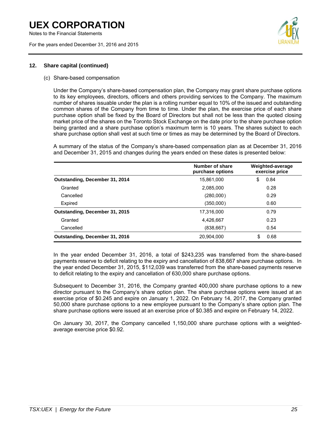Notes to the Financial Statements

For the years ended December 31, 2016 and 2015



### **12. Share capital (continued)**

#### (c) Share-based compensation

Under the Company's share-based compensation plan, the Company may grant share purchase options to its key employees, directors, officers and others providing services to the Company. The maximum number of shares issuable under the plan is a rolling number equal to 10% of the issued and outstanding common shares of the Company from time to time. Under the plan, the exercise price of each share purchase option shall be fixed by the Board of Directors but shall not be less than the quoted closing market price of the shares on the Toronto Stock Exchange on the date prior to the share purchase option being granted and a share purchase option's maximum term is 10 years. The shares subject to each share purchase option shall vest at such time or times as may be determined by the Board of Directors.

A summary of the status of the Company's share-based compensation plan as at December 31, 2016 and December 31, 2015 and changes during the years ended on these dates is presented below:

|                                | Number of share<br>purchase options | Weighted-average<br>exercise price |
|--------------------------------|-------------------------------------|------------------------------------|
| Outstanding, December 31, 2014 | 15,861,000                          | 0.84<br>S                          |
| Granted                        | 2,085,000                           | 0.28                               |
| Cancelled                      | (280,000)                           | 0.29                               |
| Expired                        | (350,000)                           | 0.60                               |
| Outstanding, December 31, 2015 | 17,316,000                          | 0.79                               |
| Granted                        | 4,426,667                           | 0.23                               |
| Cancelled                      | (838, 667)                          | 0.54                               |
| Outstanding, December 31, 2016 | 20.904.000                          | 0.68<br>S                          |

In the year ended December 31, 2016, a total of \$243,235 was transferred from the share-based payments reserve to deficit relating to the expiry and cancellation of 838,667 share purchase options. In the year ended December 31, 2015, \$112,039 was transferred from the share-based payments reserve to deficit relating to the expiry and cancellation of 630,000 share purchase options.

Subsequent to December 31, 2016, the Company granted 400,000 share purchase options to a new director pursuant to the Company's share option plan. The share purchase options were issued at an exercise price of \$0.245 and expire on January 1, 2022. On February 14, 2017, the Company granted 50,000 share purchase options to a new employee pursuant to the Company's share option plan. The share purchase options were issued at an exercise price of \$0.385 and expire on February 14, 2022.

On January 30, 2017, the Company cancelled 1,150,000 share purchase options with a weightedaverage exercise price \$0.92.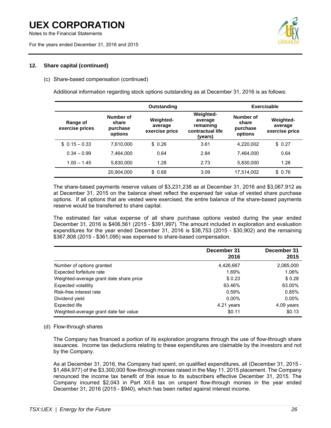Notes to the Financial Statements

For the years ended December 31, 2016 and 2015



# **12. Share capital (continued)**

# (c) Share-based compensation (continued)

Additional information regarding stock options outstanding as at December 31, 2016 is as follows:

| Outstanding                 |                                           |                                        |                                                                         | Exercisable                               |                                               |  |  |
|-----------------------------|-------------------------------------------|----------------------------------------|-------------------------------------------------------------------------|-------------------------------------------|-----------------------------------------------|--|--|
| Range of<br>exercise prices | Number of<br>share<br>purchase<br>options | Weighted-<br>average<br>exercise price | <b>Weighted-</b><br>average<br>remaining<br>contractual life<br>(years) | Number of<br>share<br>purchase<br>options | <b>Weighted-</b><br>average<br>exercise price |  |  |
| $$0.15 - 0.33$              | 7.610.000                                 | \$0.26                                 | 3.61                                                                    | 4,220,002                                 | \$0.27                                        |  |  |
| $0.34 - 0.99$               | 7.464.000                                 | 0.64                                   | 2.84                                                                    | 7.464.000                                 | 0.64                                          |  |  |
| $1.00 - 1.45$               | 5,830,000                                 | 1.28                                   | 2.73                                                                    | 5,830,000                                 | 1.28                                          |  |  |
|                             | 20,904,000                                | \$0.68                                 | 3.09                                                                    | 17,514,002                                | \$0.76                                        |  |  |

The share-based payments reserve values of \$3,231,238 as at December 31, 2016 and \$3,067,912 as at December 31, 2015 on the balance sheet reflect the expensed fair value of vested share purchase options. If all options that are vested were exercised, the entire balance of the share-based payments reserve would be transferred to share capital.

The estimated fair value expense of all share purchase options vested during the year ended December 31, 2016 is \$406,561 (2015 - \$391,997). The amount included in exploration and evaluation expenditures for the year ended December 31, 2016 is \$38,753 (2015 - \$30,902) and the remaining \$367,808 (2015 - \$361,095) was expensed to share-based compensation.

|                                         | December 31<br>2016 | December 31<br>2015 |
|-----------------------------------------|---------------------|---------------------|
| Number of options granted               | 4,426,667           | 2,085,000           |
| Expected forfeiture rate                | 1.69%               | 1.06%               |
| Weighted-average grant date share price | \$0.23              | \$0.28              |
| <b>Expected volatility</b>              | 63.46%              | 63.00%              |
| Risk-free interest rate                 | 0.59%               | 0.85%               |
| Dividend yield                          | $0.00\%$            | $0.00\%$            |
| Expected life                           | 4.21 years          | 4.09 years          |
| Weighted-average grant date fair value  | \$0.11              | \$0.13              |

### (d) Flow-through shares

The Company has financed a portion of its exploration programs through the use of flow-through share issuances. Income tax deductions relating to these expenditures are claimable by the investors and not by the Company.

As at December 31, 2016, the Company had spent, on qualified expenditures, all (December 31, 2015 - \$1,484,977) of the \$3,300,000 flow-through monies raised in the May 11, 2015 placement. The Company renounced the income tax benefit of this issue to its subscribers effective December 31, 2015. The Company incurred \$2,043 in Part XII.6 tax on unspent flow-through monies in the year ended December 31, 2016 (2015 - \$940), which has been netted against interest income.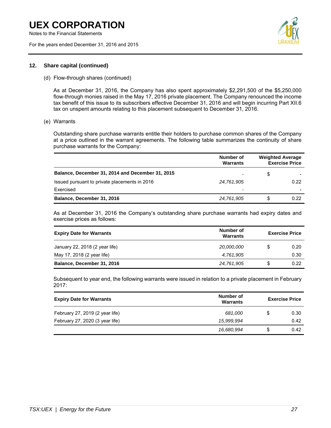Notes to the Financial Statements

For the years ended December 31, 2016 and 2015



### **12. Share capital (continued)**

(d) Flow-through shares (continued)

As at December 31, 2016, the Company has also spent approximately \$2,291,500 of the \$5,250,000 flow-through monies raised in the May 17, 2016 private placement. The Company renounced the income tax benefit of this issue to its subscribers effective December 31, 2016 and will begin incurring Part XII.6 tax on unspent amounts relating to this placement subsequent to December 31, 2016.

(e) Warrants

Outstanding share purchase warrants entitle their holders to purchase common shares of the Company at a price outlined in the warrant agreements. The following table summarizes the continuity of share purchase warrants for the Company:

|                                                  | Number of<br><b>Warrants</b> | <b>Weighted Average</b><br><b>Exercise Price</b> |
|--------------------------------------------------|------------------------------|--------------------------------------------------|
| Balance, December 31, 2014 and December 31, 2015 | ٠                            | \$                                               |
| Issued pursuant to private placements in 2016    | 24,761,905                   | 0.22                                             |
| Exercised                                        | ٠                            |                                                  |
| Balance, December 31, 2016                       | 24,761,905                   | \$<br>0.22                                       |

As at December 31, 2016 the Company's outstanding share purchase warrants had expiry dates and exercise prices as follows:

| <b>Expiry Date for Warrants</b> | Number of<br>Warrants | <b>Exercise Price</b> |      |  |
|---------------------------------|-----------------------|-----------------------|------|--|
| January 22, 2018 (2 year life)  | 20,000,000            |                       | 0.20 |  |
| May 17, 2018 (2 year life)      | 4.761.905             |                       | 0.30 |  |
| Balance, December 31, 2016      | 24,761,905            | S.                    | 0.22 |  |

Subsequent to year end, the following warrants were issued in relation to a private placement in February 2017:

| <b>Expiry Date for Warrants</b> | Number of<br>Warrants | <b>Exercise Price</b> |      |  |
|---------------------------------|-----------------------|-----------------------|------|--|
| February 27, 2019 (2 year life) | 681.000               | S                     | 0.30 |  |
| February 27, 2020 (3 year life) | 15,999,994            |                       | 0.42 |  |
|                                 | 16,680,994            | S                     | 0.42 |  |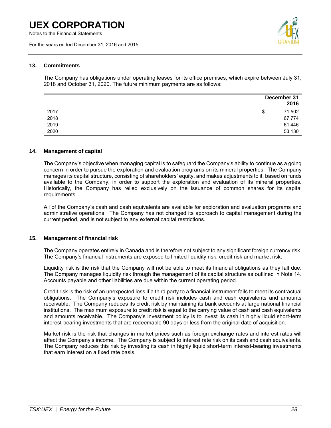Notes to the Financial Statements

For the years ended December 31, 2016 and 2015



### **13. Commitments**

The Company has obligations under operating leases for its office premises, which expire between July 31, 2018 and October 31, 2020. The future minimum payments are as follows:

|      | December 31<br>2016 |
|------|---------------------|
| 2017 | 71,502<br>\$        |
| 2018 | 67,774              |
| 2019 | 61,446              |
| 2020 | 53,130              |

### **14. Management of capital**

The Company's objective when managing capital is to safeguard the Company's ability to continue as a going concern in order to pursue the exploration and evaluation programs on its mineral properties. The Company manages its capital structure, consisting of shareholders' equity, and makes adjustments to it, based on funds available to the Company, in order to support the exploration and evaluation of its mineral properties. Historically, the Company has relied exclusively on the issuance of common shares for its capital requirements.

All of the Company's cash and cash equivalents are available for exploration and evaluation programs and administrative operations. The Company has not changed its approach to capital management during the current period, and is not subject to any external capital restrictions.

# **15. Management of financial risk**

The Company operates entirely in Canada and is therefore not subject to any significant foreign currency risk. The Company's financial instruments are exposed to limited liquidity risk, credit risk and market risk.

Liquidity risk is the risk that the Company will not be able to meet its financial obligations as they fall due. The Company manages liquidity risk through the management of its capital structure as outlined in Note 14. Accounts payable and other liabilities are due within the current operating period.

Credit risk is the risk of an unexpected loss if a third party to a financial instrument fails to meet its contractual obligations. The Company's exposure to credit risk includes cash and cash equivalents and amounts receivable. The Company reduces its credit risk by maintaining its bank accounts at large national financial institutions. The maximum exposure to credit risk is equal to the carrying value of cash and cash equivalents and amounts receivable. The Company's investment policy is to invest its cash in highly liquid short-term interest-bearing investments that are redeemable 90 days or less from the original date of acquisition.

Market risk is the risk that changes in market prices such as foreign exchange rates and interest rates will affect the Company's income. The Company is subject to interest rate risk on its cash and cash equivalents. The Company reduces this risk by investing its cash in highly liquid short-term interest-bearing investments that earn interest on a fixed rate basis.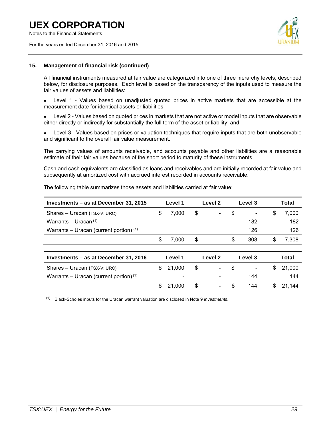Notes to the Financial Statements

For the years ended December 31, 2016 and 2015



### **15. Management of financial risk (continued)**

All financial instruments measured at fair value are categorized into one of three hierarchy levels, described below, for disclosure purposes. Each level is based on the transparency of the inputs used to measure the fair values of assets and liabilities:

• Level 1 - Values based on unadjusted quoted prices in active markets that are accessible at the measurement date for identical assets or liabilities;

Level 2 - Values based on quoted prices in markets that are not active or model inputs that are observable either directly or indirectly for substantially the full term of the asset or liability; and

Level 3 - Values based on prices or valuation techniques that require inputs that are both unobservable and significant to the overall fair value measurement.

The carrying values of amounts receivable, and accounts payable and other liabilities are a reasonable estimate of their fair values because of the short period to maturity of these instruments.

Cash and cash equivalents are classified as loans and receivables and are initially recorded at fair value and subsequently at amortized cost with accrued interest recorded in accounts receivable.

| Investments – as at December 31, 2015     |    | Level 1 | Level 2                        | Level 3                            |    | Total  |
|-------------------------------------------|----|---------|--------------------------------|------------------------------------|----|--------|
| Shares - Uracan (TSX-V: URC)              | \$ | 7,000   | \$                             | \$<br>$\qquad \qquad \blacksquare$ | \$ | 7.000  |
| Warrants – Uracan $(1)$                   |    |         |                                | 182                                |    | 182    |
| Warrants – Uracan (current portion) $(1)$ |    |         |                                | 126                                |    | 126    |
|                                           | S  | 7.000   | \$<br>$\overline{\phantom{0}}$ | \$<br>308                          | \$ | 7,308  |
|                                           |    |         |                                |                                    |    |        |
| Investments – as at December 31, 2016     |    | Level 1 | Level 2                        | Level 3                            |    | Total  |
| Shares - Uracan (TSX-V: URC)              | S  | 21,000  | \$                             | \$                                 | S  | 21.000 |
| Warrants – Uracan (current portion) $(1)$ |    |         |                                | 144                                |    | 144    |
|                                           | S  | 21.000  | \$                             | \$<br>144                          | S  | 21.144 |

The following table summarizes those assets and liabilities carried at fair value:

(1) Black-Scholes inputs for the Uracan warrant valuation are disclosed in Note 9 *Investments*.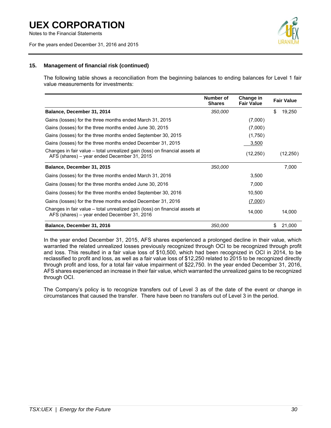Notes to the Financial Statements

For the years ended December 31, 2016 and 2015



# **15. Management of financial risk (continued)**

The following table shows a reconciliation from the beginning balances to ending balances for Level 1 fair value measurements for investments:

|                                                                                                                            | Number of<br><b>Shares</b> | Change in<br><b>Fair Value</b> | <b>Fair Value</b> |
|----------------------------------------------------------------------------------------------------------------------------|----------------------------|--------------------------------|-------------------|
| Balance, December 31, 2014                                                                                                 | 350,000                    |                                | \$<br>19,250      |
| Gains (losses) for the three months ended March 31, 2015                                                                   |                            | (7,000)                        |                   |
| Gains (losses) for the three months ended June 30, 2015                                                                    |                            | (7,000)                        |                   |
| Gains (losses) for the three months ended September 30, 2015                                                               |                            | (1,750)                        |                   |
| Gains (losses) for the three months ended December 31, 2015                                                                |                            | 3,500                          |                   |
| Changes in fair value – total unrealized gain (loss) on financial assets at<br>AFS (shares) – year ended December 31, 2015 |                            | (12, 250)                      | (12, 250)         |
| Balance, December 31, 2015                                                                                                 | 350,000                    |                                | 7,000             |
| Gains (losses) for the three months ended March 31, 2016                                                                   |                            | 3,500                          |                   |
| Gains (losses) for the three months ended June 30, 2016                                                                    |                            | 7,000                          |                   |
| Gains (losses) for the three months ended September 30, 2016                                                               |                            | 10,500                         |                   |
| Gains (losses) for the three months ended December 31, 2016                                                                |                            | (7,000)                        |                   |
| Changes in fair value – total unrealized gain (loss) on financial assets at<br>AFS (shares) – year ended December 31, 2016 |                            | 14,000                         | 14,000            |
| Balance, December 31, 2016                                                                                                 | 350,000                    |                                | \$<br>21,000      |

In the year ended December 31, 2015, AFS shares experienced a prolonged decline in their value, which warranted the related unrealized losses previously recognized through OCI to be recognized through profit and loss. This resulted in a fair value loss of \$10,500, which had been recognized in OCI in 2014, to be reclassified to profit and loss, as well as a fair value loss of \$12,250 related to 2015 to be recognized directly through profit and loss, for a total fair value impairment of \$22,750. In the year ended December 31, 2016, AFS shares experienced an increase in their fair value, which warranted the unrealized gains to be recognized through OCI.

The Company's policy is to recognize transfers out of Level 3 as of the date of the event or change in circumstances that caused the transfer. There have been no transfers out of Level 3 in the period.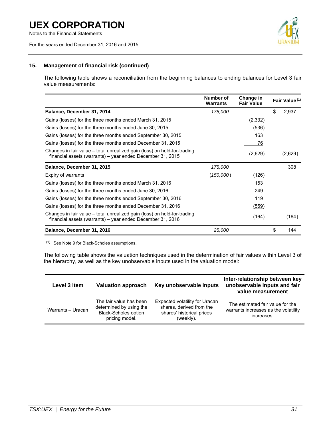Notes to the Financial Statements

For the years ended December 31, 2016 and 2015



# **15. Management of financial risk (continued)**

The following table shows a reconciliation from the beginning balances to ending balances for Level 3 fair value measurements:

|                                                                                                                                        | Number of<br><b>Warrants</b> | Change in<br><b>Fair Value</b> | Fair Value <sup>(1)</sup> |
|----------------------------------------------------------------------------------------------------------------------------------------|------------------------------|--------------------------------|---------------------------|
| Balance, December 31, 2014                                                                                                             | 175,000                      |                                | \$<br>2,937               |
| Gains (losses) for the three months ended March 31, 2015                                                                               |                              | (2,332)                        |                           |
| Gains (losses) for the three months ended June 30, 2015                                                                                |                              | (536)                          |                           |
| Gains (losses) for the three months ended September 30, 2015                                                                           |                              | 163                            |                           |
| Gains (losses) for the three months ended December 31, 2015                                                                            |                              | 76                             |                           |
| Changes in fair value – total unrealized gain (loss) on held-for-trading<br>financial assets (warrants) - year ended December 31, 2015 |                              | (2,629)                        | (2,629)                   |
| Balance, December 31, 2015                                                                                                             | 175,000                      |                                | 308                       |
| Expiry of warrants                                                                                                                     | (150,000)                    | (126)                          |                           |
| Gains (losses) for the three months ended March 31, 2016                                                                               |                              | 153                            |                           |
| Gains (losses) for the three months ended June 30, 2016                                                                                |                              | 249                            |                           |
| Gains (losses) for the three months ended September 30, 2016                                                                           |                              | 119                            |                           |
| Gains (losses) for the three months ended December 31, 2016                                                                            |                              | (559)                          |                           |
| Changes in fair value – total unrealized gain (loss) on held-for-trading<br>financial assets (warrants) - year ended December 31, 2016 |                              | (164)                          | (164)                     |
| Balance, December 31, 2016                                                                                                             | 25,000                       |                                | \$<br>144                 |

(1) See Note 9 for Black-Scholes assumptions.

The following table shows the valuation techniques used in the determination of fair values within Level 3 of the hierarchy, as well as the key unobservable inputs used in the valuation model:

| Level 3 item      | <b>Valuation approach</b>                                                                           | Key unobservable inputs                                                                              | Inter-relationship between key<br>unobservable inputs and fair<br>value measurement    |
|-------------------|-----------------------------------------------------------------------------------------------------|------------------------------------------------------------------------------------------------------|----------------------------------------------------------------------------------------|
| Warrants - Uracan | The fair value has been<br>determined by using the<br><b>Black-Scholes option</b><br>pricing model. | Expected volatility for Uracan<br>shares, derived from the<br>shares' historical prices<br>(weekly). | The estimated fair value for the<br>warrants increases as the volatility<br>increases. |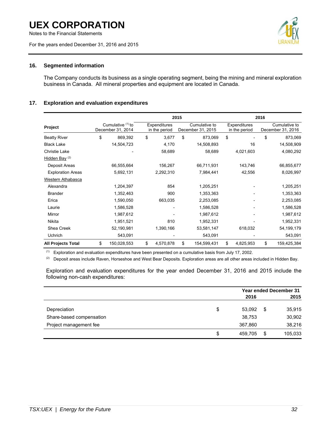Notes to the Financial Statements

For the years ended December 31, 2016 and 2015



# **16. Segmented information**

The Company conducts its business as a single operating segment, being the mining and mineral exploration business in Canada. All mineral properties and equipment are located in Canada.

# **17. Exploration and evaluation expenditures**

|                           |                                          | 2015 |                               |    |                                    |    |                               | 2016 |                                    |
|---------------------------|------------------------------------------|------|-------------------------------|----|------------------------------------|----|-------------------------------|------|------------------------------------|
| Project                   | Cumulative $(1)$ to<br>December 31, 2014 |      | Expenditures<br>in the period |    | Cumulative to<br>December 31, 2015 |    | Expenditures<br>in the period |      | Cumulative to<br>December 31, 2016 |
| <b>Beatty River</b>       | \$<br>869,392                            | \$   | 3,677                         | \$ | 873,069                            | \$ |                               | \$   | 873,069                            |
| <b>Black Lake</b>         | 14,504,723                               |      | 4,170                         |    | 14,508,893                         |    | 16                            |      | 14,508,909                         |
| Christie Lake             |                                          |      | 58,689                        |    | 58,689                             |    | 4,021,603                     |      | 4,080,292                          |
| Hidden Bay $(2)$          |                                          |      |                               |    |                                    |    |                               |      |                                    |
| Deposit Areas             | 66,555,664                               |      | 156,267                       |    | 66,711,931                         |    | 143,746                       |      | 66,855,677                         |
| <b>Exploration Areas</b>  | 5,692,131                                |      | 2,292,310                     |    | 7,984,441                          |    | 42,556                        |      | 8,026,997                          |
| Western Athabasca         |                                          |      |                               |    |                                    |    |                               |      |                                    |
| Alexandra                 | 1,204,397                                |      | 854                           |    | 1,205,251                          |    |                               |      | 1,205,251                          |
| <b>Brander</b>            | 1,352,463                                |      | 900                           |    | 1,353,363                          |    |                               |      | 1,353,363                          |
| Erica                     | 1,590,050                                |      | 663,035                       |    | 2,253,085                          |    |                               |      | 2,253,085                          |
| Laurie                    | 1,586,528                                |      |                               |    | 1,586,528                          |    |                               |      | 1,586,528                          |
| Mirror                    | 1,987,612                                |      |                               |    | 1,987,612                          |    |                               |      | 1,987,612                          |
| Nikita                    | 1,951,521                                |      | 810                           |    | 1,952,331                          |    |                               |      | 1,952,331                          |
| Shea Creek                | 52,190,981                               |      | 1,390,166                     |    | 53,581,147                         |    | 618,032                       |      | 54, 199, 179                       |
| Uchrich                   | 543,091                                  |      |                               |    | 543,091                            |    |                               |      | 543,091                            |
| <b>All Projects Total</b> | \$<br>150,028,553                        | \$   | 4,570,878                     | \$ | 154,599,431                        | \$ | 4,825,953                     | \$   | 159,425,384                        |

(1) Exploration and evaluation expenditures have been presented on a cumulative basis from July 17, 2002.

(2) Deposit areas include Raven, Horseshoe and West Bear Deposits. Exploration areas are all other areas included in Hidden Bay.

Exploration and evaluation expenditures for the year ended December 31, 2016 and 2015 include the following non-cash expenditures:

|                          | <b>Year ended December 31</b> |    |         |  |
|--------------------------|-------------------------------|----|---------|--|
|                          | 2016                          |    | 2015    |  |
| Depreciation             | \$<br>53,092                  | \$ | 35,915  |  |
| Share-based compensation | 38,753                        |    | 30,902  |  |
| Project management fee   | 367.860                       |    | 38,216  |  |
|                          | \$<br>459.705                 | \$ | 105,033 |  |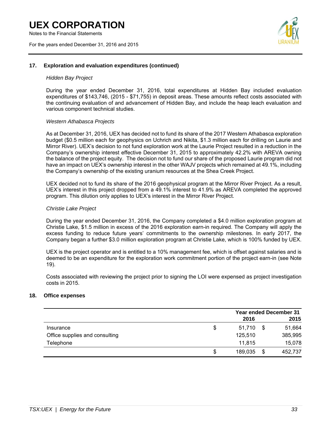Notes to the Financial Statements

For the years ended December 31, 2016 and 2015



### **17. Exploration and evaluation expenditures (continued)**

#### *Hidden Bay Project*

During the year ended December 31, 2016, total expenditures at Hidden Bay included evaluation expenditures of \$143,746, (2015 - \$71,755) in deposit areas. These amounts reflect costs associated with the continuing evaluation of and advancement of Hidden Bay, and include the heap leach evaluation and various component technical studies.

#### *Western Athabasca Projects*

As at December 31, 2016, UEX has decided not to fund its share of the 2017 Western Athabasca exploration budget (\$0.5 million each for geophysics on Uchrich and Nikita, \$1.3 million each for drilling on Laurie and Mirror River). UEX's decision to not fund exploration work at the Laurie Project resulted in a reduction in the Company's ownership interest effective December 31, 2015 to approximately 42.2% with AREVA owning the balance of the project equity. The decision not to fund our share of the proposed Laurie program did not have an impact on UEX's ownership interest in the other WAJV projects which remained at 49.1%, including the Company's ownership of the existing uranium resources at the Shea Creek Project.

UEX decided not to fund its share of the 2016 geophysical program at the Mirror River Project. As a result, UEX's interest in this project dropped from a 49.1% interest to 41.9% as AREVA completed the approved program. This dilution only applies to UEX's interest in the Mirror River Project.

### *Christie Lake Project*

During the year ended December 31, 2016, the Company completed a \$4.0 million exploration program at Christie Lake, \$1.5 million in excess of the 2016 exploration earn-in required. The Company will apply the excess funding to reduce future years' commitments to the ownership milestones. In early 2017, the Company began a further \$3.0 million exploration program at Christie Lake, which is 100% funded by UEX.

UEX is the project operator and is entitled to a 10% management fee, which is offset against salaries and is deemed to be an expenditure for the exploration work commitment portion of the project earn-in (see Note 19).

Costs associated with reviewing the project prior to signing the LOI were expensed as project investigation costs in 2015.

# **18. Office expenses**

|                                |    | <b>Year ended December 31</b> |    |         |  |
|--------------------------------|----|-------------------------------|----|---------|--|
|                                |    | 2016                          |    | 2015    |  |
| Insurance                      | \$ | 51.710                        | \$ | 51,664  |  |
| Office supplies and consulting |    | 125,510                       |    | 385,995 |  |
| Telephone                      |    | 11,815                        |    | 15,078  |  |
|                                | S  | 189,035                       | \$ | 452,737 |  |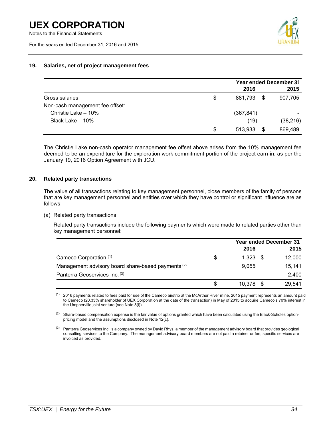For the years ended December 31, 2016 and 2015



# **19. Salaries, net of project management fees**

|                                 | <b>Year ended December 31</b> |      |           |  |
|---------------------------------|-------------------------------|------|-----------|--|
|                                 | 2016                          |      | 2015      |  |
| Gross salaries                  | \$<br>881,793                 | - \$ | 907,705   |  |
| Non-cash management fee offset: |                               |      |           |  |
| Christie Lake - 10%             | (367, 841)                    |      |           |  |
| Black Lake - 10%                | (19)                          |      | (38, 216) |  |
|                                 | \$<br>513.933                 | \$   | 869,489   |  |

The Christie Lake non-cash operator management fee offset above arises from the 10% management fee deemed to be an expenditure for the exploration work commitment portion of the project earn-in, as per the January 19, 2016 Option Agreement with JCU.

#### **20. Related party transactions**

The value of all transactions relating to key management personnel, close members of the family of persons that are key management personnel and entities over which they have control or significant influence are as follows:

(a) Related party transactions

Related party transactions include the following payments which were made to related parties other than key management personnel:

|                                                               |    |                          | <b>Year ended December 31</b> |        |  |  |
|---------------------------------------------------------------|----|--------------------------|-------------------------------|--------|--|--|
|                                                               |    | 2016                     |                               | 2015   |  |  |
| Cameco Corporation (1)                                        | \$ | 1.323                    |                               | 12,000 |  |  |
| Management advisory board share-based payments <sup>(2)</sup> |    | 9,055                    |                               | 15,141 |  |  |
| Panterra Geoservices Inc. (3)                                 |    | $\overline{\phantom{a}}$ |                               | 2.400  |  |  |
|                                                               | S  | 10.378                   |                               | 29,541 |  |  |

<sup>(1)</sup> 2016 payments related to fees paid for use of the Cameco airstrip at the McArthur River mine. 2015 payment represents an amount paid to Cameco (20.33% shareholder of UEX Corporation at the date of the transaction) in May of 2015 to acquire Cameco's 70% interest in the Umpherville joint venture (see Note 8(i)).

 $(2)$  Share-based compensation expense is the fair value of options granted which have been calculated using the Black-Scholes optionpricing model and the assumptions disclosed in Note 12(c).

<sup>(3)</sup> Panterra Geoservices Inc. is a company owned by David Rhys, a member of the management advisory board that provides geological consulting services to the Company. The management advisory board members are not paid a retainer or fee; specific services are invoiced as provided.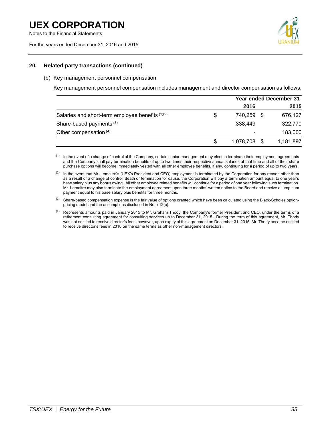

### **20. Related party transactions (continued)**

#### (b) Key management personnel compensation

Key management personnel compensation includes management and director compensation as follows:

|                                                  |    | <b>Year ended December 31</b> |      |           |  |
|--------------------------------------------------|----|-------------------------------|------|-----------|--|
|                                                  |    | 2016                          |      | 2015      |  |
| Salaries and short-term employee benefits (1)(2) | \$ | 740.259                       |      | 676,127   |  |
| Share-based payments <sup>(3)</sup>              |    | 338,449                       |      | 322,770   |  |
| Other compensation (4)                           |    |                               |      | 183,000   |  |
|                                                  | S  | 1,078,708                     | - \$ | 1,181,897 |  |

<sup>(1)</sup> In the event of a change of control of the Company, certain senior management may elect to terminate their employment agreements and the Company shall pay termination benefits of up to two times their respective annual salaries at that time and all of their share purchase options will become immediately vested with all other employee benefits, if any, continuing for a period of up to two years.

 $(3)$  Share-based compensation expense is the fair value of options granted which have been calculated using the Black-Scholes optionpricing model and the assumptions disclosed in Note 12(c).

<sup>(4)</sup> Represents amounts paid in January 2015 to Mr. Graham Thody, the Company's former President and CEO, under the terms of a retirement consulting agreement for consulting services up to December 31, 2015. During the term of this agreement, Mr. Thody was not entitled to receive director's fees; however, upon expiry of this agreement on December 31, 2015, Mr. Thody became entitled to receive director's fees in 2016 on the same terms as other non-management directors.

<sup>(2)</sup> In the event that Mr. Lemaitre's (UEX's President and CEO) employment is terminated by the Corporation for any reason other than as a result of a change of control, death or termination for cause, the Corporation will pay a termination amount equal to one year's base salary plus any bonus owing. All other employee related benefits will continue for a period of one year following such termination. Mr. Lemaitre may also terminate the employment agreement upon three months' written notice to the Board and receive a lump sum payment equal to his base salary plus benefits for three months.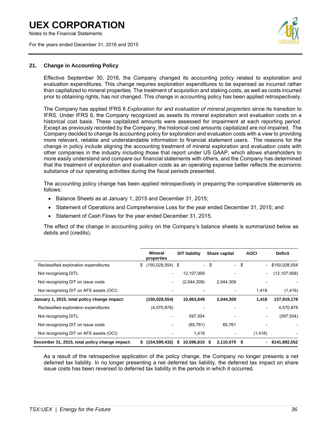Notes to the Financial Statements

For the years ended December 31, 2016 and 2015



#### **21. Change in Accounting Policy**

Effective September 30, 2016, the Company changed its accounting policy related to exploration and evaluation expenditures. This change requires exploration expenditures to be expensed as incurred rather than capitalized to mineral properties. The treatment of acquisition and staking costs, as well as costs incurred prior to obtaining rights, has not changed. This change in accounting policy has been applied retrospectively.

The Company has applied IFRS 6 *Exploration for and evaluation of mineral properties* since its transition to IFRS. Under IFRS 6, the Company recognized as assets its mineral exploration and evaluation costs on a historical cost basis. These capitalized amounts were assessed for impairment at each reporting period. Except as previously recorded by the Company, the historical cost amounts capitalized are not impaired. The Company decided to change its accounting policy for exploration and evaluation costs with a view to providing more relevant, reliable and understandable information to financial statement users. The reasons for the change in policy include aligning the accounting treatment of mineral exploration and evaluation costs with other companies in the industry including those that report under US GAAP, which allows shareholders to more easily understand and compare our financial statements with others, and the Company has determined that the treatment of exploration and evaluation costs as an operating expense better reflects the economic substance of our operating activities during the fiscal periods presented.

The accounting policy change has been applied retrospectively in preparing the comparative statements as follows:

- Balance Sheets as at January 1, 2015 and December 31, 2015;
- Statement of Operations and Comprehensive Loss for the year ended December 31, 2015; and
- Statement of Cash Flows for the year ended December 31, 2015.

The effect of the change in accounting policy on the Company's balance sheets is summarized below as debits and (credits).

|                                                |    | <b>Mineral</b><br>properties |    | <b>DIT liability</b>     |    | Share capital            |      | <b>AOCI</b>                  | <b>Deficit</b> |
|------------------------------------------------|----|------------------------------|----|--------------------------|----|--------------------------|------|------------------------------|----------------|
| Reclassified exploration expenditures          | \$ | $(150, 028, 554)$ \$         |    | $\overline{\phantom{0}}$ | \$ | $\overline{\phantom{a}}$ | \$   | $\overline{\phantom{0}}$     | \$150,028,554  |
| Not recognizing DITL                           |    | $\overline{\phantom{0}}$     |    | 12,107,958               |    |                          |      | $\overline{\phantom{a}}$     | (12, 107, 958) |
| Not recognizing DIT on issue costs             |    | -                            |    | (2,044,309)              |    | 2,044,309                |      |                              |                |
| Not recognizing DIT on AFS assets (OCI)        |    |                              |    |                          |    |                          |      | 1,418                        | (1, 418)       |
| January 1, 2015, total policy change impact:   |    | (150, 028, 554)              |    | 10,063,649               |    | 2,044,309                |      | 1,418                        | 137,919,178    |
| Reclassified exploration expenditures          |    | (4,570,878)                  |    |                          |    |                          |      | $\qquad \qquad \blacksquare$ | 4,570,878      |
| Not recognizing DITL                           |    |                              |    | 597.504                  |    |                          |      | $\overline{\phantom{a}}$     | (597, 504)     |
| Not recognizing DIT on issue costs             |    |                              |    | (65, 761)                |    | 65,761                   |      |                              |                |
| Not recognizing DIT on AFS assets (OCI)        |    | $\overline{\phantom{a}}$     |    | 1,418                    |    | $\overline{\phantom{a}}$ |      | (1, 418)                     |                |
| December 31, 2015, total policy change impact: | s. | (154,599,432)                | s. | 10,596,810               | S  | 2,110,070                | - \$ | -                            | \$141,892,552  |

As a result of the retrospective application of the policy change, the Company no longer presents a net deferred tax liability. In no longer presenting a net deferred tax liability, the deferred tax impact on share issue costs has been reversed to deferred tax liability in the periods in which it occurred.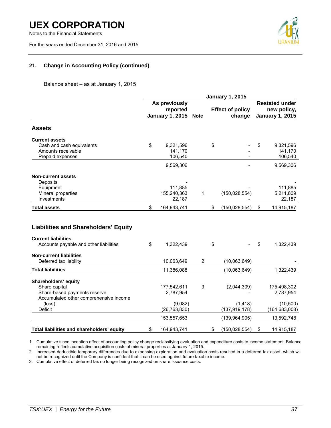Notes to the Financial Statements

For the years ended December 31, 2016 and 2015



# **21. Change in Accounting Policy (continued)**

Balance sheet – as at January 1, 2015

|                                             | <b>January 1, 2015</b> |                        |                |    |                         |                        |                 |  |  |  |
|---------------------------------------------|------------------------|------------------------|----------------|----|-------------------------|------------------------|-----------------|--|--|--|
|                                             |                        | As previously          |                |    |                         | <b>Restated under</b>  |                 |  |  |  |
|                                             |                        | reported               |                |    | <b>Effect of policy</b> | new policy,            |                 |  |  |  |
|                                             |                        | <b>January 1, 2015</b> | <b>Note</b>    |    | change                  | <b>January 1, 2015</b> |                 |  |  |  |
| <b>Assets</b>                               |                        |                        |                |    |                         |                        |                 |  |  |  |
| <b>Current assets</b>                       |                        |                        |                |    |                         |                        |                 |  |  |  |
| Cash and cash equivalents                   | \$                     | 9,321,596              |                | \$ |                         | \$                     | 9,321,596       |  |  |  |
| Amounts receivable                          |                        | 141,170                |                |    |                         |                        | 141,170         |  |  |  |
| Prepaid expenses                            |                        | 106,540                |                |    |                         |                        | 106,540         |  |  |  |
|                                             |                        | 9,569,306              |                |    |                         |                        | 9,569,306       |  |  |  |
| <b>Non-current assets</b>                   |                        |                        |                |    |                         |                        |                 |  |  |  |
| Deposits                                    |                        |                        |                |    |                         |                        |                 |  |  |  |
| Equipment                                   |                        | 111.885                |                |    |                         |                        | 111.885         |  |  |  |
| Mineral properties                          |                        | 155,240,363            | 1              |    | (150, 028, 554)         |                        | 5,211,809       |  |  |  |
| Investments                                 |                        | 22,187                 |                |    |                         |                        | 22,187          |  |  |  |
| <b>Total assets</b>                         | \$                     | 164,943,741            |                | \$ | (150, 028, 554)         | \$                     | 14,915,187      |  |  |  |
| <b>Liabilities and Shareholders' Equity</b> |                        |                        |                |    |                         |                        |                 |  |  |  |
| <b>Current liabilities</b>                  |                        |                        |                |    |                         |                        |                 |  |  |  |
| Accounts payable and other liabilities      | \$                     | 1,322,439              |                | \$ |                         | \$                     | 1,322,439       |  |  |  |
| <b>Non-current liabilities</b>              |                        |                        |                |    |                         |                        |                 |  |  |  |
| Deferred tax liability                      |                        | 10,063,649             | $\overline{c}$ |    | (10,063,649)            |                        |                 |  |  |  |
| <b>Total liabilities</b>                    |                        | 11,386,088             |                |    | (10,063,649)            |                        | 1,322,439       |  |  |  |
| Shareholders' equity                        |                        |                        |                |    |                         |                        |                 |  |  |  |
| Share capital                               |                        | 177,542,611            | 3              |    | (2,044,309)             |                        | 175,498,302     |  |  |  |
| Share-based payments reserve                |                        | 2,787,954              |                |    |                         |                        | 2,787,954       |  |  |  |
| Accumulated other comprehensive income      |                        |                        |                |    |                         |                        |                 |  |  |  |
| (loss)                                      |                        | (9,082)                |                |    | (1, 418)                |                        | (10, 500)       |  |  |  |
| Deficit                                     |                        | (26, 763, 830)         |                |    | (137, 919, 178)         |                        | (164, 683, 008) |  |  |  |
|                                             |                        | 153,557,653            |                |    | (139, 964, 905)         |                        | 13,592,748      |  |  |  |
| Total liabilities and shareholders' equity  | \$                     | 164,943,741            |                | \$ | (150, 028, 554)         | \$                     | 14,915,187      |  |  |  |

1. Cumulative since inception effect of accounting policy change reclassifying evaluation and expenditure costs to income statement. Balance remaining reflects cumulative acquisition costs of mineral properties at January 1, 2015.

2. Increased deductible temporary differences due to expensing exploration and evaluation costs resulted in a deferred tax asset, which will not be recognized until the Company is confident that it can be used against future taxable income.

3. Cumulative effect of deferred tax no longer being recognized on share issuance costs.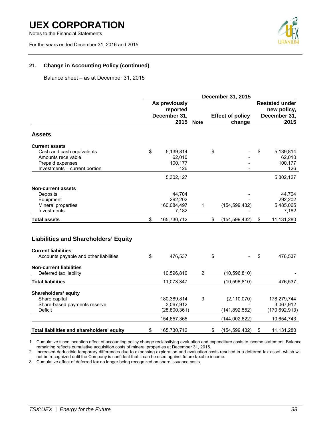Notes to the Financial Statements

For the years ended December 31, 2016 and 2015



# **21. Change in Accounting Policy (continued)**

Balance sheet – as at December 31, 2015

|                                             |    | <b>December 31, 2015</b>  |           |                                      |                         |              |                 |  |
|---------------------------------------------|----|---------------------------|-----------|--------------------------------------|-------------------------|--------------|-----------------|--|
|                                             |    | As previously<br>reported |           | <b>Restated under</b><br>new policy, |                         |              |                 |  |
|                                             |    | December 31,              |           |                                      | <b>Effect of policy</b> | December 31, |                 |  |
|                                             |    |                           | 2015 Note |                                      | change                  |              | 2015            |  |
| <b>Assets</b>                               |    |                           |           |                                      |                         |              |                 |  |
| <b>Current assets</b>                       |    |                           |           |                                      |                         |              |                 |  |
| Cash and cash equivalents                   | \$ | 5,139,814                 |           | \$                                   |                         | \$           | 5,139,814       |  |
| Amounts receivable                          |    | 62,010                    |           |                                      |                         |              | 62,010          |  |
| Prepaid expenses                            |    | 100,177                   |           |                                      |                         |              | 100,177         |  |
| Investments - current portion               |    | 126                       |           |                                      |                         |              | 126             |  |
|                                             |    | 5,302,127                 |           |                                      |                         |              | 5,302,127       |  |
| <b>Non-current assets</b>                   |    |                           |           |                                      |                         |              |                 |  |
| Deposits                                    |    | 44,704                    |           |                                      |                         |              | 44,704          |  |
| Equipment                                   |    | 292,202                   |           |                                      |                         |              | 292,202         |  |
| Mineral properties                          |    | 160,084,497               | 1         |                                      | (154, 599, 432)         |              | 5,485,065       |  |
| Investments                                 |    | 7.182                     |           |                                      |                         |              | 7,182           |  |
| <b>Total assets</b>                         | \$ | 165,730,712               |           | \$                                   | (154, 599, 432)         | \$           | 11,131,280      |  |
| <b>Liabilities and Shareholders' Equity</b> |    |                           |           |                                      |                         |              |                 |  |
| <b>Current liabilities</b>                  |    |                           |           |                                      |                         |              |                 |  |
| Accounts payable and other liabilities      | \$ | 476,537                   |           | \$                                   |                         | \$           | 476,537         |  |
| <b>Non-current liabilities</b>              |    |                           |           |                                      |                         |              |                 |  |
| Deferred tax liability                      |    | 10,596,810                | 2         |                                      | (10, 596, 810)          |              |                 |  |
| <b>Total liabilities</b>                    |    | 11,073,347                |           |                                      | (10, 596, 810)          |              | 476,537         |  |
| Shareholders' equity                        |    |                           |           |                                      |                         |              |                 |  |
| Share capital                               |    | 180,389,814               | 3         |                                      | (2, 110, 070)           |              | 178,279,744     |  |
| Share-based payments reserve                |    | 3,067,912                 |           |                                      |                         |              | 3,067,912       |  |
| <b>Deficit</b>                              |    | (28, 800, 361)            |           |                                      | (141, 892, 552)         |              | (170, 692, 913) |  |
|                                             |    | 154,657,365               |           |                                      | (144, 002, 622)         |              | 10,654,743      |  |
| Total liabilities and shareholders' equity  | \$ | 165,730,712               |           | \$                                   | (154, 599, 432)         | \$           | 11,131,280      |  |

1. Cumulative since inception effect of accounting policy change reclassifying evaluation and expenditure costs to income statement. Balance remaining reflects cumulative acquisition costs of mineral properties at December 31, 2015.

2. Increased deductible temporary differences due to expensing exploration and evaluation costs resulted in a deferred tax asset, which will not be recognized until the Company is confident that it can be used against future taxable income.

3. Cumulative effect of deferred tax no longer being recognized on share issuance costs.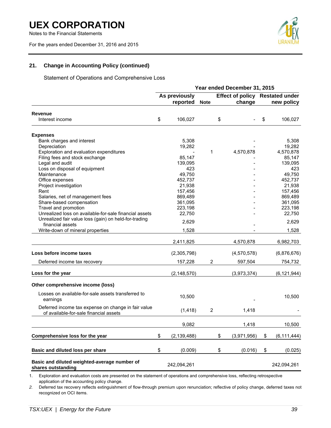Notes to the Financial Statements

For the years ended December 31, 2016 and 2015



# **21. Change in Accounting Policy (continued)**

Statement of Operations and Comprehensive Loss

|                                                                                               | Year ended December 31, 2015 |                           |             |    |             |    |                                               |  |  |
|-----------------------------------------------------------------------------------------------|------------------------------|---------------------------|-------------|----|-------------|----|-----------------------------------------------|--|--|
|                                                                                               |                              | As previously<br>reported | <b>Note</b> |    | change      |    | Effect of policy Restated under<br>new policy |  |  |
|                                                                                               |                              |                           |             |    |             |    |                                               |  |  |
| Revenue<br>Interest income                                                                    | \$                           | 106,027                   |             | \$ |             | \$ | 106,027                                       |  |  |
| <b>Expenses</b>                                                                               |                              |                           |             |    |             |    |                                               |  |  |
| Bank charges and interest                                                                     |                              | 5,308                     |             |    |             |    | 5,308                                         |  |  |
| Depreciation                                                                                  |                              | 19,282                    |             |    |             |    | 19,282                                        |  |  |
| Exploration and evaluation expenditures                                                       |                              |                           | 1           |    | 4,570,878   |    | 4,570,878                                     |  |  |
| Filing fees and stock exchange                                                                |                              | 85,147                    |             |    |             |    | 85,147                                        |  |  |
| Legal and audit                                                                               |                              | 139,095                   |             |    |             |    | 139,095                                       |  |  |
| Loss on disposal of equipment                                                                 |                              | 423                       |             |    |             |    | 423                                           |  |  |
| Maintenance                                                                                   |                              | 49,750                    |             |    |             |    | 49,750                                        |  |  |
| Office expenses                                                                               |                              | 452,737                   |             |    |             |    | 452,737                                       |  |  |
| Project investigation                                                                         |                              | 21,938                    |             |    |             |    | 21,938                                        |  |  |
| Rent                                                                                          |                              | 157,456                   |             |    |             |    | 157,456                                       |  |  |
| Salaries, net of management fees                                                              |                              | 869,489                   |             |    |             |    | 869,489                                       |  |  |
| Share-based compensation                                                                      |                              | 361,095                   |             |    |             |    | 361,095                                       |  |  |
| Travel and promotion                                                                          |                              | 223,198                   |             |    |             |    | 223,198                                       |  |  |
| Unrealized loss on available-for-sale financial assets                                        |                              | 22,750                    |             |    |             |    | 22,750                                        |  |  |
| Unrealized fair value loss (gain) on held-for-trading                                         |                              |                           |             |    |             |    |                                               |  |  |
| financial assets                                                                              |                              | 2,629                     |             |    |             |    | 2,629                                         |  |  |
| Write-down of mineral properties                                                              |                              | 1,528                     |             |    |             |    | 1,528                                         |  |  |
|                                                                                               |                              |                           |             |    |             |    |                                               |  |  |
|                                                                                               |                              | 2,411,825                 |             |    | 4,570,878   |    | 6,982,703                                     |  |  |
| Loss before income taxes                                                                      |                              | (2,305,798)               |             |    | (4,570,578) |    | (6,876,676)                                   |  |  |
| Deferred income tax recovery                                                                  |                              | 157,228                   | 2           |    | 597,504     |    | 754,732                                       |  |  |
| Loss for the year                                                                             |                              | (2, 148, 570)             |             |    | (3,973,374) |    | (6, 121, 944)                                 |  |  |
| Other comprehensive income (loss)                                                             |                              |                           |             |    |             |    |                                               |  |  |
| Losses on available-for-sale assets transferred to<br>earnings                                |                              | 10,500                    |             |    |             |    | 10,500                                        |  |  |
| Deferred income tax expense on change in fair value<br>of available-for-sale financial assets |                              | (1, 418)                  | 2           |    | 1,418       |    |                                               |  |  |
|                                                                                               |                              |                           |             |    |             |    |                                               |  |  |
|                                                                                               |                              | 9,082                     |             |    | 1,418       |    | 10,500                                        |  |  |
| Comprehensive loss for the year                                                               | \$                           | (2, 139, 488)             |             | \$ | (3,971,956) | S  | (6, 111, 444)                                 |  |  |
| Basic and diluted loss per share                                                              | \$                           | (0.009)                   |             | \$ | (0.016)     | \$ | (0.025)                                       |  |  |
| Basic and diluted weighted-average number of<br>shares outstanding                            |                              | 242,094,261               |             |    |             |    | 242,094,261                                   |  |  |

1. Exploration and evaluation costs are presented on the statement of operations and comprehensive loss, reflecting retrospective application of the accounting policy change.

*2.* Deferred tax recovery reflects extinguishment of flow-through premium upon renunciation; reflective of policy change, deferred taxes not recognized on OCI items.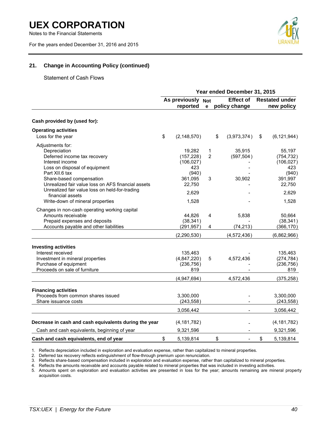Notes to the Financial Statements

For the years ended December 31, 2016 and 2015



# **21. Change in Accounting Policy (continued)**

Statement of Cash Flows

|                                                                                                                                                                                                                                                                            | Year ended December 31, 2015 |                                                                         |                          |                                   |                                |    |                                                                         |  |
|----------------------------------------------------------------------------------------------------------------------------------------------------------------------------------------------------------------------------------------------------------------------------|------------------------------|-------------------------------------------------------------------------|--------------------------|-----------------------------------|--------------------------------|----|-------------------------------------------------------------------------|--|
|                                                                                                                                                                                                                                                                            |                              | As previously Not<br>reported                                           | $\mathbf{e}$             | <b>Effect of</b><br>policy change |                                |    | <b>Restated under</b><br>new policy                                     |  |
| Cash provided by (used for):                                                                                                                                                                                                                                               |                              |                                                                         |                          |                                   |                                |    |                                                                         |  |
| <b>Operating activities</b><br>Loss for the year                                                                                                                                                                                                                           | \$                           | (2, 148, 570)                                                           |                          | \$                                | (3,973,374)                    | \$ | (6, 121, 944)                                                           |  |
| Adjustments for:<br>Depreciation<br>Deferred income tax recovery<br>Interest income<br>Loss on disposal of equipment<br>Part XII.6 tax<br>Share-based compensation<br>Unrealized fair value loss on AFS financial assets<br>Unrealized fair value loss on held-for-trading |                              | 19,282<br>(157, 228)<br>(106, 027)<br>423<br>(940)<br>361,095<br>22,750 | 1<br>$\overline{2}$<br>3 |                                   | 35,915<br>(597, 504)<br>30,902 |    | 55,197<br>(754, 732)<br>(106, 027)<br>423<br>(940)<br>391,997<br>22,750 |  |
| financial assets<br>Write-down of mineral properties                                                                                                                                                                                                                       |                              | 2,629<br>1,528                                                          |                          |                                   |                                |    | 2,629<br>1,528                                                          |  |
| Changes in non-cash operating working capital<br>Amounts receivable<br>Prepaid expenses and deposits<br>Accounts payable and other liabilities                                                                                                                             |                              | 44,826<br>(38, 341)<br>(291, 957)                                       | 4<br>4                   |                                   | 5,838<br>(74, 213)             |    | 50,664<br>(38, 341)<br>(366, 170)                                       |  |
|                                                                                                                                                                                                                                                                            |                              | (2, 290, 530)                                                           |                          |                                   | (4,572,436)                    |    | (6,862,966)                                                             |  |
| <b>Investing activities</b><br>Interest received<br>Investment in mineral properties<br>Purchase of equipment<br>Proceeds on sale of furniture                                                                                                                             |                              | 135.463<br>(4,847,220)<br>(236, 756)<br>819                             | 5                        |                                   | 4,572,436                      |    | 135,463<br>(274, 784)<br>(236, 756)<br>819                              |  |
|                                                                                                                                                                                                                                                                            |                              | (4,947,694)                                                             |                          |                                   | 4,572,436                      |    | (375, 258)                                                              |  |
| <b>Financing activities</b><br>Proceeds from common shares issued<br>Share issuance costs                                                                                                                                                                                  |                              | 3,300,000<br>(243, 558)                                                 |                          |                                   |                                |    | 3,300,000<br>(243, 558)                                                 |  |
|                                                                                                                                                                                                                                                                            |                              | 3,056,442                                                               |                          |                                   |                                |    | 3,056,442                                                               |  |
| Decrease in cash and cash equivalents during the year                                                                                                                                                                                                                      |                              | (4, 181, 782)                                                           |                          |                                   |                                |    | (4, 181, 782)                                                           |  |
| Cash and cash equivalents, beginning of year                                                                                                                                                                                                                               |                              | 9,321,596                                                               |                          |                                   |                                |    | 9,321,596                                                               |  |
| Cash and cash equivalents, end of year                                                                                                                                                                                                                                     | \$                           | 5,139,814                                                               |                          | \$                                |                                | \$ | 5,139,814                                                               |  |

1. Reflects depreciation included in exploration and evaluation expense, rather than capitalized to mineral properties.

2. Deferred tax recovery reflects extinguishment of flow-through premium upon renunciation.

3. Reflects share-based compensation included in exploration and evaluation expense, rather than capitalized to mineral properties.

4. Reflects the amounts receivable and accounts payable related to mineral properties that was included in investing activities.

5. Amounts spent on exploration and evaluation activities are presented in loss for the year; amounts remaining are mineral property acquisition costs.